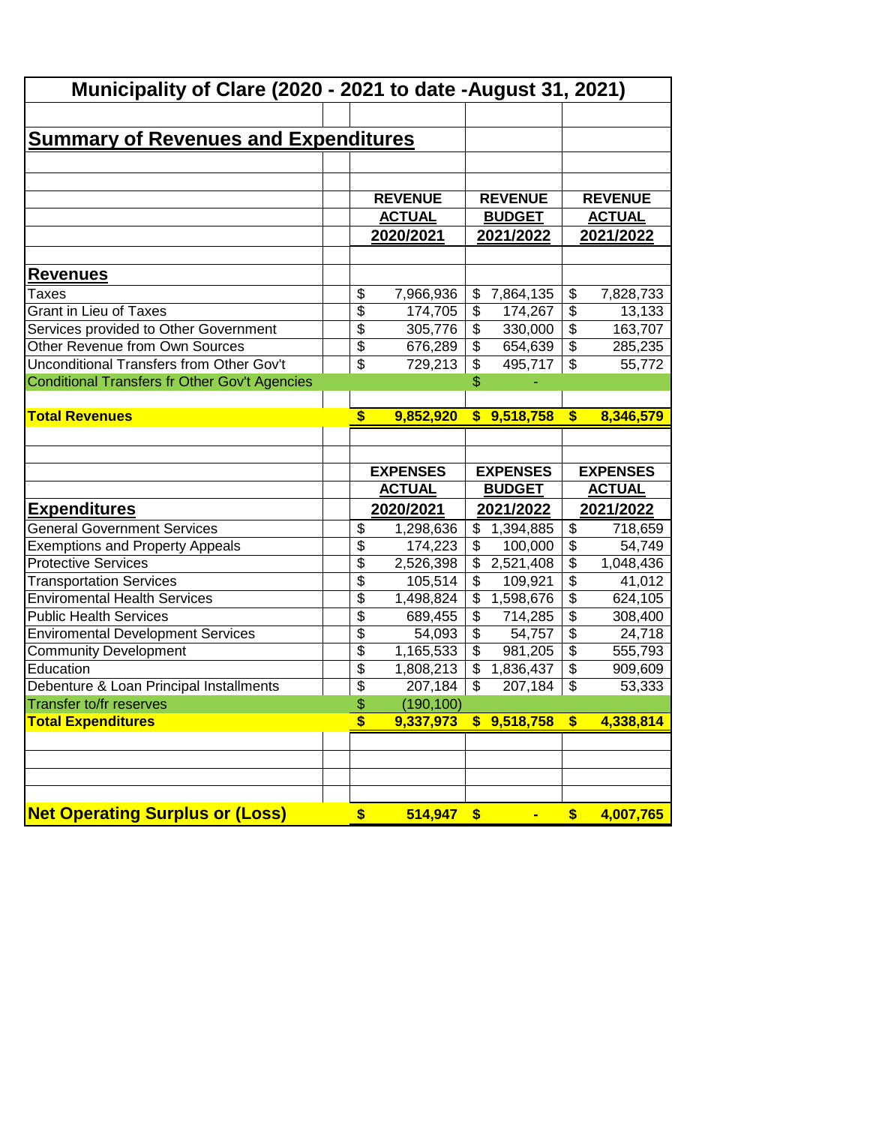| Municipality of Clare (2020 - 2021 to date -August 31, 2021) |                                      |                                       |                                                   |  |
|--------------------------------------------------------------|--------------------------------------|---------------------------------------|---------------------------------------------------|--|
|                                                              |                                      |                                       |                                                   |  |
| <u>Summary of Revenues and Expenditures</u>                  |                                      |                                       |                                                   |  |
|                                                              |                                      |                                       |                                                   |  |
|                                                              |                                      |                                       |                                                   |  |
|                                                              | <b>REVENUE</b>                       | <b>REVENUE</b>                        | <b>REVENUE</b>                                    |  |
|                                                              | <b>ACTUAL</b>                        | <b>BUDGET</b>                         | <b>ACTUAL</b>                                     |  |
|                                                              | 2020/2021                            | 2021/2022                             | 2021/2022                                         |  |
| <b>Revenues</b>                                              |                                      |                                       |                                                   |  |
| Taxes                                                        | \$<br>7,966,936                      | \$<br>7,864,135                       | \$<br>7,828,733                                   |  |
| <b>Grant in Lieu of Taxes</b>                                | \$<br>174,705                        | \$<br>174,267                         | $\overline{\$}$<br>13,133                         |  |
| Services provided to Other Government                        | \$<br>305,776                        | \$<br>330,000                         | $\overline{\$}$<br>163,707                        |  |
| Other Revenue from Own Sources                               | $\overline{\$}$<br>676,289           | $\overline{\$}$<br>654,639            | $\overline{\mathcal{E}}$<br>285,235               |  |
| Unconditional Transfers from Other Gov't                     | $\overline{\mathbf{S}}$<br>729,213   | $\overline{\mathcal{L}}$<br>495,717   | $\overline{\mathcal{S}}$<br>55,772                |  |
| Conditional Transfers fr Other Gov't Agencies                |                                      | \$                                    |                                                   |  |
|                                                              |                                      |                                       |                                                   |  |
| <b>Total Revenues</b>                                        | $\overline{\mathbf{s}}$<br>9,852,920 | \$9,518,758                           | $\overline{\boldsymbol{\mathsf{s}}}$<br>8,346,579 |  |
|                                                              |                                      |                                       |                                                   |  |
|                                                              |                                      |                                       |                                                   |  |
|                                                              |                                      |                                       |                                                   |  |
|                                                              | <b>EXPENSES</b>                      | <b>EXPENSES</b>                       | <b>EXPENSES</b>                                   |  |
|                                                              | <b>ACTUAL</b>                        | <b>BUDGET</b>                         | <b>ACTUAL</b>                                     |  |
| <b>Expenditures</b>                                          | 2020/2021                            | 2021/2022                             | 2021/2022                                         |  |
| <b>General Government Services</b>                           | \$<br>1,298,636                      | \$<br>1,394,885                       | \$<br>718,659                                     |  |
| <b>Exemptions and Property Appeals</b>                       | $\overline{\$}$<br>174,223           | \$<br>100,000                         | $\overline{\$}$<br>54,749                         |  |
| <b>Protective Services</b>                                   | $\overline{\$}$<br>2,526,398         | \$<br>2,521,408                       | $\overline{\$}$<br>1,048,436                      |  |
| <b>Transportation Services</b>                               | $\overline{\$}$<br>105,514           | $\overline{\mathcal{L}}$<br>109,921   | $\overline{\$}$<br>41,012                         |  |
| <b>Enviromental Health Services</b>                          | \$<br>1,498,824                      | $\overline{\mathcal{S}}$<br>1,598,676 | $\overline{\$}$<br>624,105                        |  |
| <b>Public Health Services</b>                                | $\overline{\$}$<br>689,455           | $\overline{\mathcal{L}}$<br>714,285   | $\overline{\mathcal{E}}$<br>308,400               |  |
| <b>Enviromental Development Services</b>                     | \$<br>54,093                         | $\overline{\mathcal{L}}$<br>54,757    | $\overline{\$}$<br>24,718                         |  |
| <b>Community Development</b>                                 | \$<br>1,165,533                      | \$<br>981,205                         | $\overline{\$}$<br>555,793                        |  |
| Education                                                    | \$<br>1,808,213                      | \$<br>1,836,437                       | $\overline{\mathcal{L}}$                          |  |
| Debenture & Loan Principal Installments                      | \$<br>207,184                        | \$<br>207,184                         | \$<br>53,333                                      |  |
| Transfer to/fr reserves                                      | \$<br>(190, 100)                     |                                       | 909,609                                           |  |
| <b>Total Expenditures</b>                                    | \$<br>9,337,973                      | 9,518,758<br>\$                       | \$<br>4,338,814                                   |  |
|                                                              |                                      |                                       |                                                   |  |
|                                                              |                                      |                                       |                                                   |  |
|                                                              |                                      |                                       |                                                   |  |
| <b>Net Operating Surplus or (Loss)</b>                       | 514,947<br>\$                        | \$                                    | 4,007,765<br>\$                                   |  |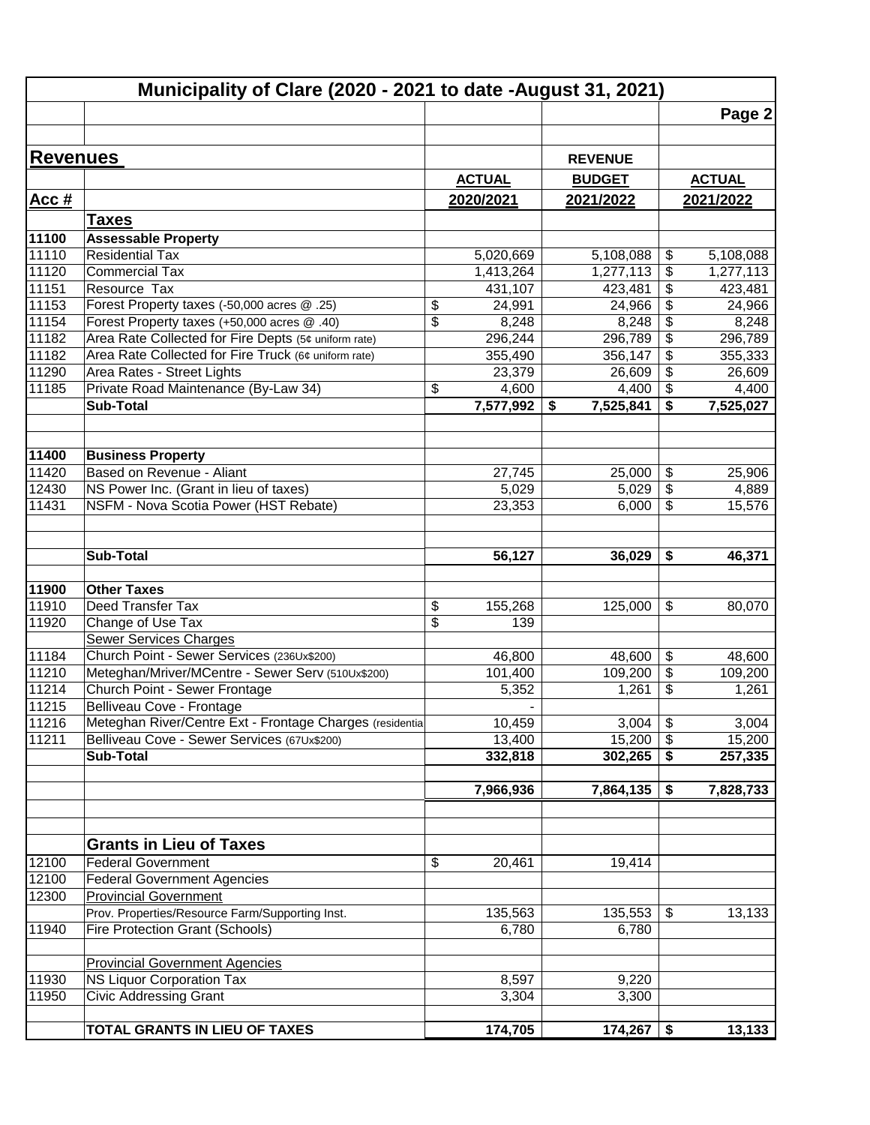|                 | Municipality of Clare (2020 - 2021 to date -August 31, 2021) |                                          |                 |                                        |               |
|-----------------|--------------------------------------------------------------|------------------------------------------|-----------------|----------------------------------------|---------------|
|                 |                                                              |                                          |                 |                                        | Page 2        |
|                 |                                                              |                                          |                 |                                        |               |
| <b>Revenues</b> |                                                              |                                          |                 |                                        |               |
|                 |                                                              |                                          | <b>REVENUE</b>  |                                        |               |
|                 |                                                              | <b>ACTUAL</b>                            | <b>BUDGET</b>   |                                        | <b>ACTUAL</b> |
| Acc#            |                                                              | 2020/2021                                | 2021/2022       |                                        | 2021/2022     |
|                 | <b>Taxes</b>                                                 |                                          |                 |                                        |               |
| 11100           | <b>Assessable Property</b>                                   |                                          |                 |                                        |               |
| 11110           | Residential Tax                                              | 5,020,669                                | 5,108,088       | \$                                     | 5,108,088     |
| 11120           | <b>Commercial Tax</b>                                        | 1,413,264                                | 1,277,113       | \$                                     | 1,277,113     |
| 11151           | Resource Tax                                                 | 431,107                                  | 423,481         | \$                                     | 423,481       |
| 11153           | Forest Property taxes (-50,000 acres @ .25)                  | \$<br>24,991                             | 24,966          | $\overline{\mathbf{e}}$                | 24,966        |
| 11154           | Forest Property taxes (+50,000 acres @ .40)                  | $\overline{\$}$<br>8,248                 | 8,248           | $\overline{\mathbf{e}}$                | 8,248         |
| 11182           | Area Rate Collected for Fire Depts (5¢ uniform rate)         | 296,244                                  | 296,789         | $\overline{\mathbf{e}}$                | 296,789       |
| 11182           | Area Rate Collected for Fire Truck (6¢ uniform rate)         | 355,490                                  | 356,147         | \$                                     | 355,333       |
| 11290           | Area Rates - Street Lights                                   | 23,379                                   | 26,609          | \$                                     | 26,609        |
| 11185           | Private Road Maintenance (By-Law 34)                         | \$<br>4,600                              | 4,400           | \$                                     | 4,400         |
|                 | <b>Sub-Total</b>                                             | 7,577,992                                | 7,525,841<br>\$ | \$                                     | 7,525,027     |
|                 |                                                              |                                          |                 |                                        |               |
| 11400           | <b>Business Property</b>                                     |                                          |                 |                                        |               |
| 11420           | Based on Revenue - Aliant                                    | 27,745                                   | 25,000          | \$                                     | 25,906        |
| 12430           | NS Power Inc. (Grant in lieu of taxes)                       | 5,029                                    | 5,029           | \$                                     | 4,889         |
| 11431           | NSFM - Nova Scotia Power (HST Rebate)                        | 23,353                                   | 6,000           | \$                                     | 15,576        |
|                 |                                                              |                                          |                 |                                        |               |
|                 |                                                              |                                          |                 |                                        |               |
|                 | Sub-Total                                                    | 56,127                                   | 36,029          | \$                                     | 46,371        |
|                 |                                                              |                                          |                 |                                        |               |
| 11900           | <b>Other Taxes</b>                                           |                                          |                 |                                        |               |
| 11910           | Deed Transfer Tax                                            | \$<br>155,268<br>$\overline{\mathbb{S}}$ | 125,000         | \$                                     | 80,070        |
| 11920           | Change of Use Tax<br><b>Sewer Services Charges</b>           | 139                                      |                 |                                        |               |
| 11184           | Church Point - Sewer Services (236Ux\$200)                   | 46,800                                   | 48,600          | \$                                     | 48,600        |
| 11210           | Meteghan/Mriver/MCentre - Sewer Serv (510Ux\$200)            | 101,400                                  | 109,200         | \$                                     | 109,200       |
| 11214           | Church Point - Sewer Frontage                                | 5,352                                    | 1,261           | \$                                     | 1,261         |
| 11215           | Belliveau Cove - Frontage                                    | $\overline{\phantom{0}}$                 |                 |                                        |               |
| 11216           | Meteghan River/Centre Ext - Frontage Charges (residential    | 10,459                                   | 3,004           | $\overline{\boldsymbol{\mathfrak{s}}}$ | 3,004         |
| 11211           | Belliveau Cove - Sewer Services (67Ux\$200)                  | 13,400                                   | 15,200          | $\boldsymbol{\mathsf{S}}$              | 15,200        |
|                 | <b>Sub-Total</b>                                             | 332,818                                  | 302,265         | \$                                     | 257,335       |
|                 |                                                              |                                          |                 |                                        |               |
|                 |                                                              | 7,966,936                                | 7,864,135       | \$                                     | 7,828,733     |
|                 |                                                              |                                          |                 |                                        |               |
|                 |                                                              |                                          |                 |                                        |               |
|                 | <b>Grants in Lieu of Taxes</b>                               |                                          |                 |                                        |               |
| 12100           | <b>Federal Government</b>                                    | \$<br>20,461                             | 19,414          |                                        |               |
| 12100           | <b>Federal Government Agencies</b>                           |                                          |                 |                                        |               |
| 12300           | <b>Provincial Government</b>                                 |                                          |                 |                                        |               |
|                 | Prov. Properties/Resource Farm/Supporting Inst.              | 135,563                                  | 135,553         | \$                                     | 13,133        |
| 11940           | Fire Protection Grant (Schools)                              | 6,780                                    | 6,780           |                                        |               |
|                 |                                                              |                                          |                 |                                        |               |
|                 | <b>Provincial Government Agencies</b>                        |                                          |                 |                                        |               |
| 11930           | <b>NS Liquor Corporation Tax</b>                             | 8,597                                    | 9,220           |                                        |               |
| 11950           | <b>Civic Addressing Grant</b>                                | 3,304                                    | 3,300           |                                        |               |
|                 | TOTAL GRANTS IN LIEU OF TAXES                                | 174,705                                  | 174,267         | \$                                     | 13,133        |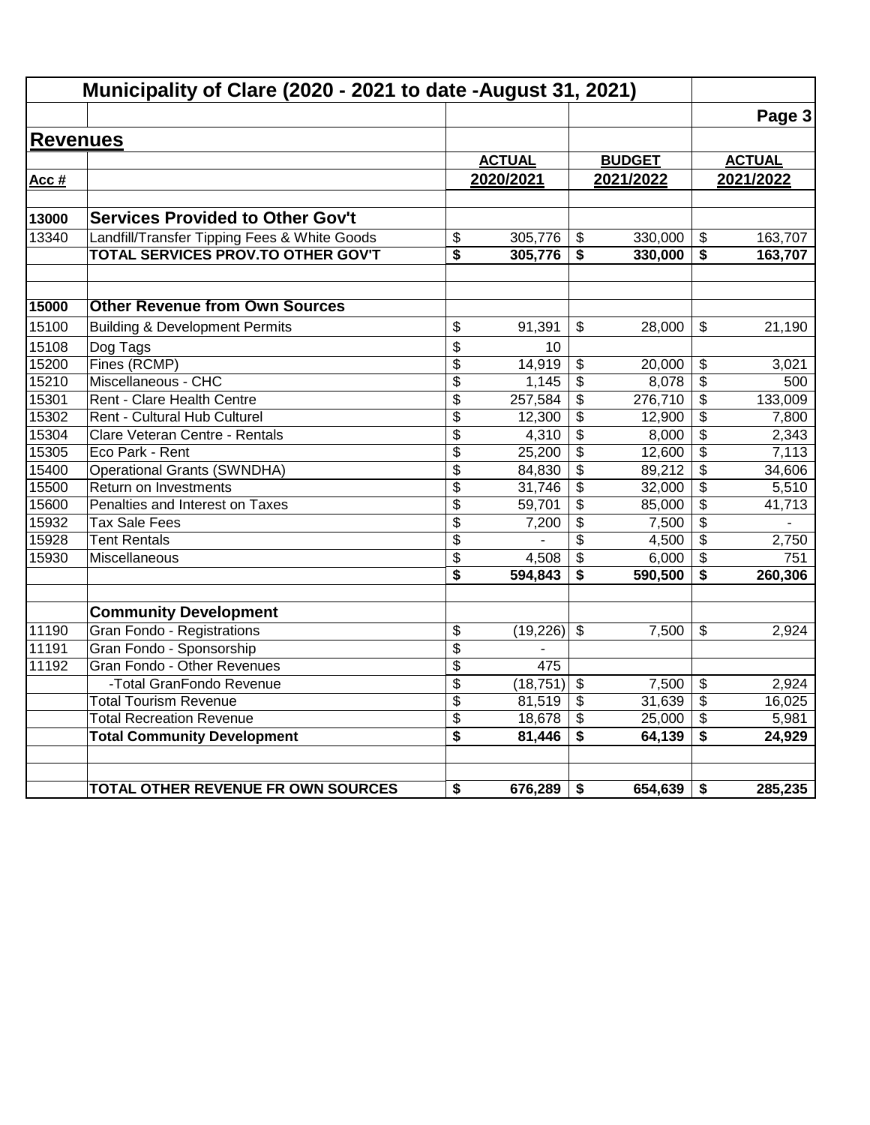|                 | Municipality of Clare (2020 - 2021 to date - August 31, 2021) |                 |               |                           |               |                                      |               |
|-----------------|---------------------------------------------------------------|-----------------|---------------|---------------------------|---------------|--------------------------------------|---------------|
|                 |                                                               |                 |               |                           |               |                                      | Page 3        |
| <b>Revenues</b> |                                                               |                 |               |                           |               |                                      |               |
|                 |                                                               |                 | <b>ACTUAL</b> |                           | <b>BUDGET</b> |                                      | <b>ACTUAL</b> |
| Acc #           |                                                               |                 | 2020/2021     |                           | 2021/2022     |                                      | 2021/2022     |
|                 |                                                               |                 |               |                           |               |                                      |               |
| 13000           | <b>Services Provided to Other Gov't</b>                       |                 |               |                           |               |                                      |               |
| 13340           | Landfill/Transfer Tipping Fees & White Goods                  | \$              | 305,776       | \$                        | 330,000       | \$                                   | 163,707       |
|                 | TOTAL SERVICES PROV.TO OTHER GOV'T                            | \$              | 305,776       | \$                        | 330,000       | \$                                   | 163,707       |
| 15000           | <b>Other Revenue from Own Sources</b>                         |                 |               |                           |               |                                      |               |
| 15100           | <b>Building &amp; Development Permits</b>                     | \$              | 91,391        | \$                        | 28,000        | $\mathbb{S}$                         | 21,190        |
| 15108           | Dog Tags                                                      | \$              | 10            |                           |               |                                      |               |
| 15200           | Fines (RCMP)                                                  | \$              | 14,919        | \$                        | 20,000        | \$                                   | 3,021         |
| 15210           | Miscellaneous - CHC                                           | $\overline{\$}$ | 1,145         | $\overline{\mathfrak{s}}$ | 8,078         | $\overline{\$}$                      | 500           |
| 15301           | Rent - Clare Health Centre                                    | \$              | 257,584       | $\overline{\mathbf{e}}$   | 276,710       | \$                                   | 133,009       |
| 15302           | Rent - Cultural Hub Culturel                                  | \$              | 12,300        | \$                        | 12,900        | \$                                   | 7,800         |
| 15304           | Clare Veteran Centre - Rentals                                | \$              | 4,310         | $\overline{\mathbf{3}}$   | 8,000         | $\overline{\boldsymbol{\mathsf{s}}}$ | 2,343         |
| 15305           | Eco Park - Rent                                               | \$              | 25,200        | \$                        | 12,600        | $\overline{\mathcal{S}}$             | 7,113         |
| 15400           | <b>Operational Grants (SWNDHA)</b>                            | \$              | 84,830        | $\overline{\mathbf{3}}$   | 89,212        | \$                                   | 34,606        |
| 15500           | Return on Investments                                         | $\overline{\$}$ | 31,746        | $\overline{\mathbf{3}}$   | 32,000        | $\overline{\boldsymbol{\mathsf{s}}}$ | 5,510         |
| 15600           | Penalties and Interest on Taxes                               | \$              | 59,701        | \$                        | 85,000        | \$                                   | 41,713        |
| 15932           | <b>Tax Sale Fees</b>                                          | \$              | 7,200         | \$                        | 7,500         | $\frac{1}{2}$                        |               |
| 15928           | <b>Tent Rentals</b>                                           | \$              |               | \$                        | 4,500         | \$                                   | 2,750         |
| 15930           | Miscellaneous                                                 | \$              | 4,508         | $\overline{\mathbf{3}}$   | 6,000         | \$                                   | 751           |
|                 |                                                               | \$              | 594,843       | \$                        | 590,500       | \$                                   | 260,306       |
|                 | <b>Community Development</b>                                  |                 |               |                           |               |                                      |               |
| 11190           | <b>Gran Fondo - Registrations</b>                             | \$              | (19,226)      | $\mathfrak{S}$            | 7,500         | \$                                   | 2,924         |
| 11191           | Gran Fondo - Sponsorship                                      | \$              |               |                           |               |                                      |               |
| 11192           | Gran Fondo - Other Revenues                                   | \$              | 475           |                           |               |                                      |               |
|                 | -Total GranFondo Revenue                                      | \$              | (18, 751)     | $\overline{\mathbf{s}}$   | 7,500         | \$                                   | 2,924         |
|                 | <b>Total Tourism Revenue</b>                                  | \$              | 81,519        | \$                        | 31,639        | \$                                   | 16,025        |
|                 | <b>Total Recreation Revenue</b>                               | \$              | 18,678        | \$                        | 25,000        | $\overline{\mathbf{e}}$              | 5,981         |
|                 | <b>Total Community Development</b>                            | \$              | 81,446        | \$                        | 64,139        | \$                                   | 24,929        |
|                 | TOTAL OTHER REVENUE FR OWN SOURCES                            | \$              | 676,289       | \$                        | 654,639       | \$                                   | 285,235       |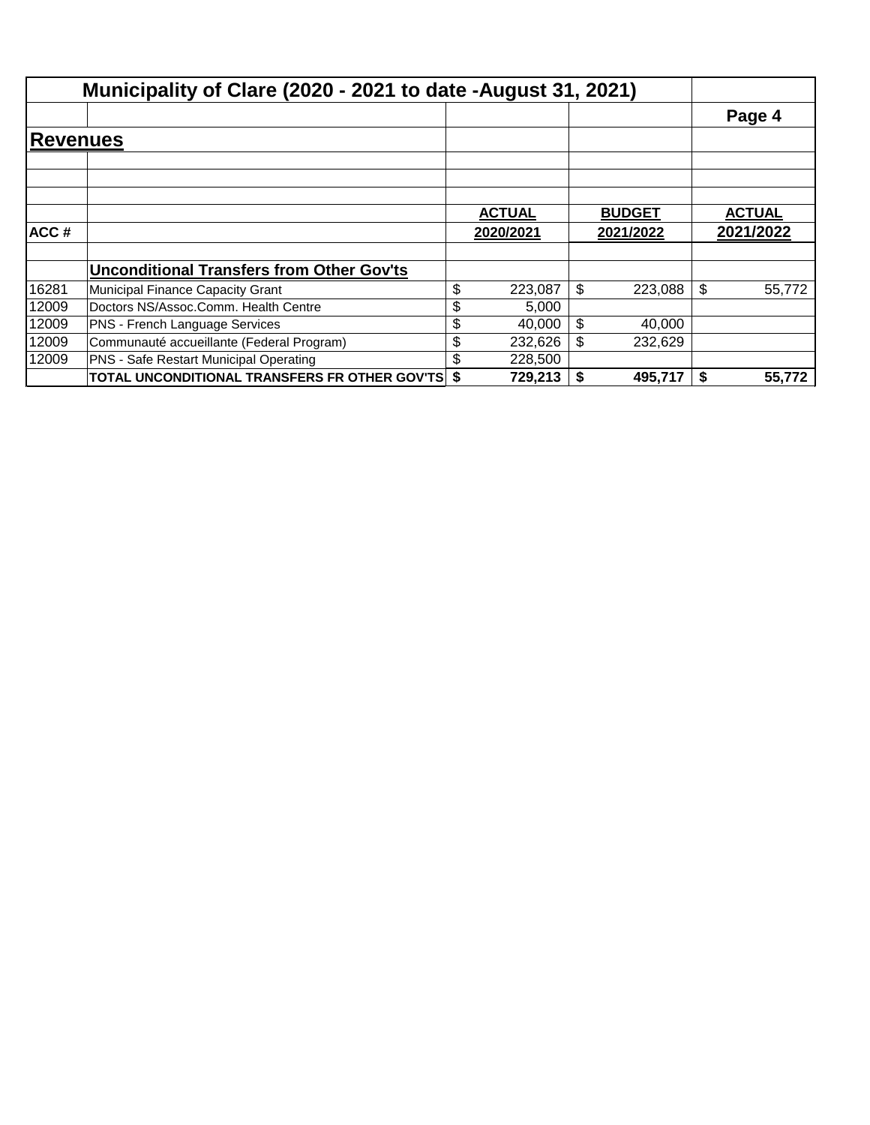|                 | Municipality of Clare (2020 - 2021 to date - August 31, 2021) |               |               |    |               |
|-----------------|---------------------------------------------------------------|---------------|---------------|----|---------------|
|                 |                                                               |               |               |    | Page 4        |
| <b>Revenues</b> |                                                               |               |               |    |               |
|                 |                                                               |               |               |    |               |
|                 |                                                               | <b>ACTUAL</b> | <b>BUDGET</b> |    | <b>ACTUAL</b> |
| ACC#            |                                                               | 2020/2021     | 2021/2022     |    | 2021/2022     |
|                 | <b>Unconditional Transfers from Other Gov'ts</b>              |               |               |    |               |
| 16281           | Municipal Finance Capacity Grant                              | \$<br>223,087 | \$<br>223.088 | \$ | 55.772        |
| 12009           | Doctors NS/Assoc.Comm. Health Centre                          | \$<br>5.000   |               |    |               |
| 12009           | PNS - French Language Services                                | \$<br>40.000  | \$<br>40,000  |    |               |
| 12009           | Communauté accueillante (Federal Program)                     | \$<br>232,626 | \$<br>232,629 |    |               |
| 12009           | PNS - Safe Restart Municipal Operating                        | \$<br>228,500 |               |    |               |
|                 | <b>TOTAL UNCONDITIONAL TRANSFERS FR OTHER GOV'TS \$</b>       | 729,213       | 495.717       | S  | 55,772        |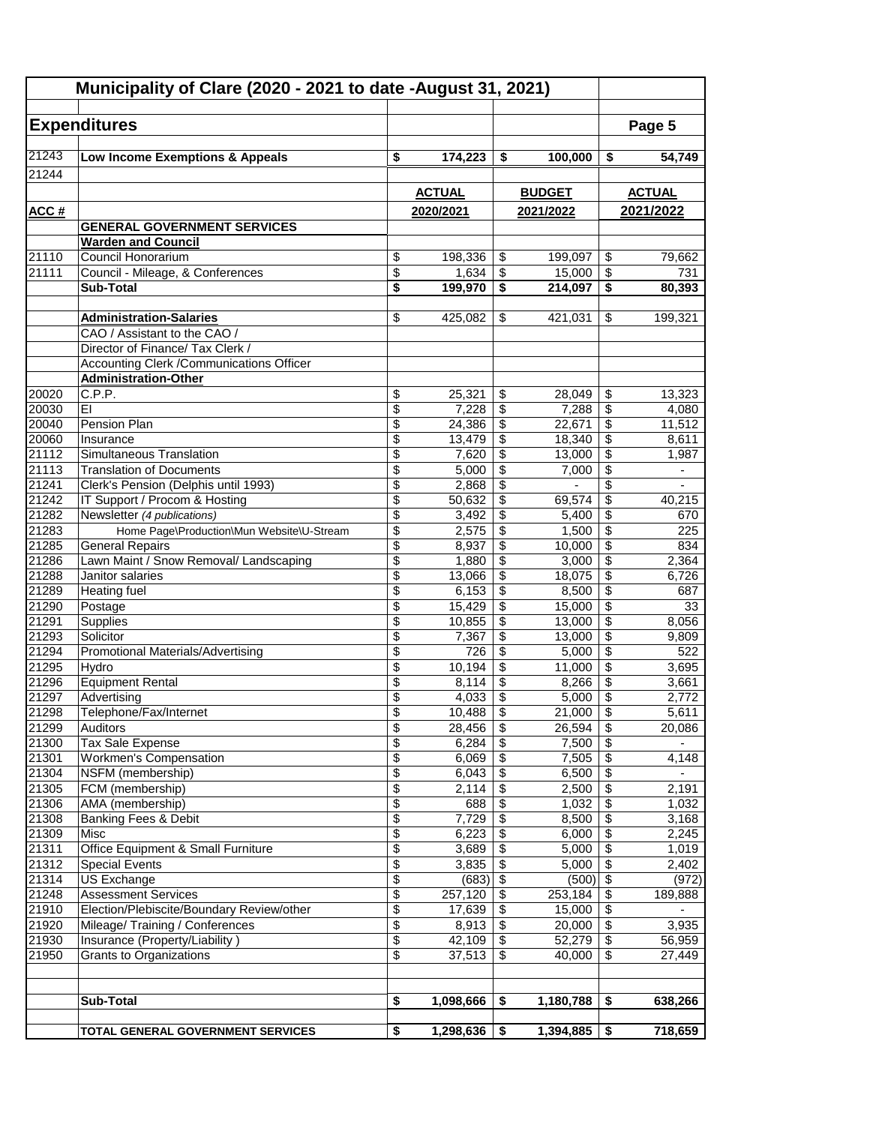|                | Municipality of Clare (2020 - 2021 to date -August 31, 2021) |                          |                 |                                |                          |                                            |                          |
|----------------|--------------------------------------------------------------|--------------------------|-----------------|--------------------------------|--------------------------|--------------------------------------------|--------------------------|
|                |                                                              |                          |                 |                                |                          |                                            |                          |
|                | <b>Expenditures</b>                                          |                          |                 |                                |                          |                                            | Page 5                   |
| 21243          | Low Income Exemptions & Appeals                              | \$                       | 174,223         | \$                             | 100,000                  | \$                                         | 54,749                   |
| 21244          |                                                              |                          |                 |                                |                          |                                            |                          |
|                |                                                              |                          | <b>ACTUAL</b>   |                                | <b>BUDGET</b>            |                                            | <b>ACTUAL</b>            |
| ACC #          |                                                              |                          | 2020/2021       |                                | 2021/2022                |                                            | 2021/2022                |
|                | <b>GENERAL GOVERNMENT SERVICES</b>                           |                          |                 |                                |                          |                                            |                          |
|                | <b>Warden and Council</b>                                    |                          |                 |                                |                          |                                            |                          |
| 21110          | Council Honorarium                                           | \$                       | 198,336         | \$                             | 199,097                  | \$                                         | 79,662                   |
| 21111          | Council - Mileage, & Conferences                             | \$                       | 1,634           | \$                             | 15,000                   | $\overline{\mathcal{S}}$                   | 731                      |
|                | <b>Sub-Total</b>                                             | \$                       | 199,970         | \$                             | 214,097                  | $\overline{\boldsymbol{\mathsf{s}}}$       | 80,393                   |
|                | <b>Administration-Salaries</b>                               | \$                       | 425,082         | \$                             | 421,031                  | \$                                         | 199,321                  |
|                | CAO / Assistant to the CAO /                                 |                          |                 |                                |                          |                                            |                          |
|                | Director of Finance/ Tax Clerk /                             |                          |                 |                                |                          |                                            |                          |
|                | Accounting Clerk / Communications Officer                    |                          |                 |                                |                          |                                            |                          |
|                | <b>Administration-Other</b>                                  |                          |                 |                                |                          |                                            |                          |
| 20020          | C.P.P.                                                       | \$                       | 25,321          | \$                             | 28,049                   | \$                                         | 13,323                   |
| 20030          | EI                                                           | \$                       | 7,228           | \$                             | 7,288                    | $\overline{\boldsymbol{\theta}}$           | 4,080                    |
| 20040          | Pension Plan                                                 | \$                       | 24,386          | \$                             | 22,671                   | $\overline{\mathcal{E}}$                   | 11,512                   |
| 20060          | Insurance                                                    | \$                       | 13,479          | \$                             | 18,340                   | $\overline{\$}$                            | 8,611                    |
| 21112          | Simultaneous Translation                                     | \$                       | 7,620           | \$                             | 13,000                   | $\sqrt{3}$                                 | 1,987                    |
| 21113          | <b>Translation of Documents</b>                              | \$                       | 5,000           | \$                             | 7,000                    | \$                                         | $\overline{\phantom{0}}$ |
| 21241          | Clerk's Pension (Delphis until 1993)                         | \$                       | 2,868           | \$                             | $\overline{\phantom{a}}$ | $\overline{\$}$                            |                          |
| 21242          | IT Support / Procom & Hosting                                | \$                       | 50,632          | \$                             | 69,574                   | $\overline{\boldsymbol{\theta}}$           | 40,215                   |
| 21282          | Newsletter (4 publications)                                  | \$                       | 3,492           | \$                             | 5,400                    | $\overline{\mathbf{S}}$                    | 670                      |
| 21283          | Home Page\Production\Mun Website\U-Stream                    | \$                       | 2,575           | \$                             | 1,500                    | \$                                         | 225                      |
| 21285          | <b>General Repairs</b>                                       | \$                       | 8,937           | \$                             | 10,000                   | $\overline{\mathcal{E}}$                   | 834                      |
| 21286          | Lawn Maint / Snow Removal/ Landscaping                       | \$                       | 1,880           | \$                             | 3,000                    | $\overline{\$}$                            | 2,364                    |
| 21288          | Janitor salaries                                             | \$                       | 13,066          | \$                             | 18,075                   | $\overline{\mathcal{E}}$                   | 6,726                    |
| 21289          | Heating fuel                                                 | $\overline{\$}$          | 6,153           | \$                             | 8,500                    | $\overline{\$}$                            | 687                      |
| 21290          | Postage                                                      | \$                       | 15,429          | \$                             | 15,000                   | $\overline{\mathbf{3}}$                    | 33                       |
| 21291          | Supplies                                                     | $\overline{\$}$          | 10,855          | $\overline{\mathcal{S}}$       | 13,000                   | $\overline{\$}$                            | 8,056                    |
| 21293          | Solicitor                                                    | \$                       | 7,367           | \$                             | 13,000                   | $\overline{\mathbf{s}}$                    | 9,809                    |
| 21294<br>21295 | Promotional Materials/Advertising<br>Hydro                   | \$<br>\$                 | 726             | \$                             | 5,000                    | $\overline{\$}$<br>$\overline{\mathbf{s}}$ | 522                      |
| 21296          | <b>Equipment Rental</b>                                      | $\overline{\$}$          | 10,194<br>8,114 | \$<br>$\overline{\mathcal{S}}$ | 11,000                   | $\overline{\$}$                            | 3,695                    |
| 21297          | Advertising                                                  | \$                       | 4,033           | \$                             | 8,266<br>5,000           | $\overline{\mathcal{E}}$                   | 3,661<br>2,772           |
| 21298          | Telephone/Fax/Internet                                       | $\overline{\$}$          | 10,488          | \$                             | 21,000                   | $\overline{\$}$                            | 5,611                    |
| 21299          | Auditors                                                     | \$                       | 28,456          | \$                             | 26,594                   | \$                                         | 20,086                   |
| 21300          | Tax Sale Expense                                             | \$                       | 6,284           | \$                             | 7,500                    | \$                                         | $\blacksquare$           |
| 21301          | Workmen's Compensation                                       | $\overline{\$}$          | 6,069           | \$                             | 7,505                    | $\overline{\$}$                            | 4,148                    |
| 21304          | NSFM (membership)                                            | \$                       | 6,043           | \$                             | 6,500                    | $\overline{\$}$                            |                          |
| 21305          | FCM (membership)                                             | \$                       | 2,114           | \$                             | 2,500                    | $\overline{\mathbf{e}}$                    | 2,191                    |
| 21306          | AMA (membership)                                             | \$                       | 688             | \$                             | 1,032                    | \$                                         | 1,032                    |
| 21308          | Banking Fees & Debit                                         | $\overline{\mathcal{E}}$ | 7,729           | $\sqrt[6]{\frac{1}{2}}$        | 8,500                    | $\overline{\mathbf{3}}$                    | 3,168                    |
| 21309          | Misc                                                         | $\overline{\$}$          | 6,223           | \$                             | 6,000                    | $\overline{\$}$                            | 2,245                    |
| 21311          | Office Equipment & Small Furniture                           | \$                       | 3,689           | \$                             | 5,000                    | \$                                         | 1,019                    |
| 21312          | <b>Special Events</b>                                        | $\overline{\mathcal{L}}$ | 3,835           | \$                             | 5,000                    | $\overline{\$}$                            | 2,402                    |
| 21314          | US Exchange                                                  | \$                       | (683)           | $\sqrt[6]{\frac{1}{2}}$        | $(500)$ \$               |                                            | (972)                    |
| 21248          | <b>Assessment Services</b>                                   | \$                       | 257,120         | \$                             | 253,184                  | $\sqrt{3}$                                 | 189,888                  |
| 21910          | Election/Plebiscite/Boundary Review/other                    | \$                       | 17,639          | \$                             | 15,000                   | $\overline{\mathbf{3}}$                    |                          |
| 21920          | Mileage/Training / Conferences                               | \$                       | 8,913           | \$                             | 20,000                   | $\sqrt[6]{3}$                              | 3,935                    |
| 21930          | Insurance (Property/Liability)                               | \$                       | 42,109          | \$                             | 52,279                   | $\overline{\mathbf{3}}$                    | 56,959                   |
| 21950          | Grants to Organizations                                      | \$                       | 37,513          | \$                             | 40,000                   | \$                                         | 27,449                   |
|                |                                                              |                          |                 |                                |                          |                                            |                          |
|                | Sub-Total                                                    | \$                       | 1,098,666       | \$                             | 1,180,788                | \$                                         | 638,266                  |
|                |                                                              |                          |                 |                                |                          |                                            |                          |
|                | TOTAL GENERAL GOVERNMENT SERVICES                            | \$                       | 1,298,636       | \$                             | 1,394,885                | \$                                         | 718,659                  |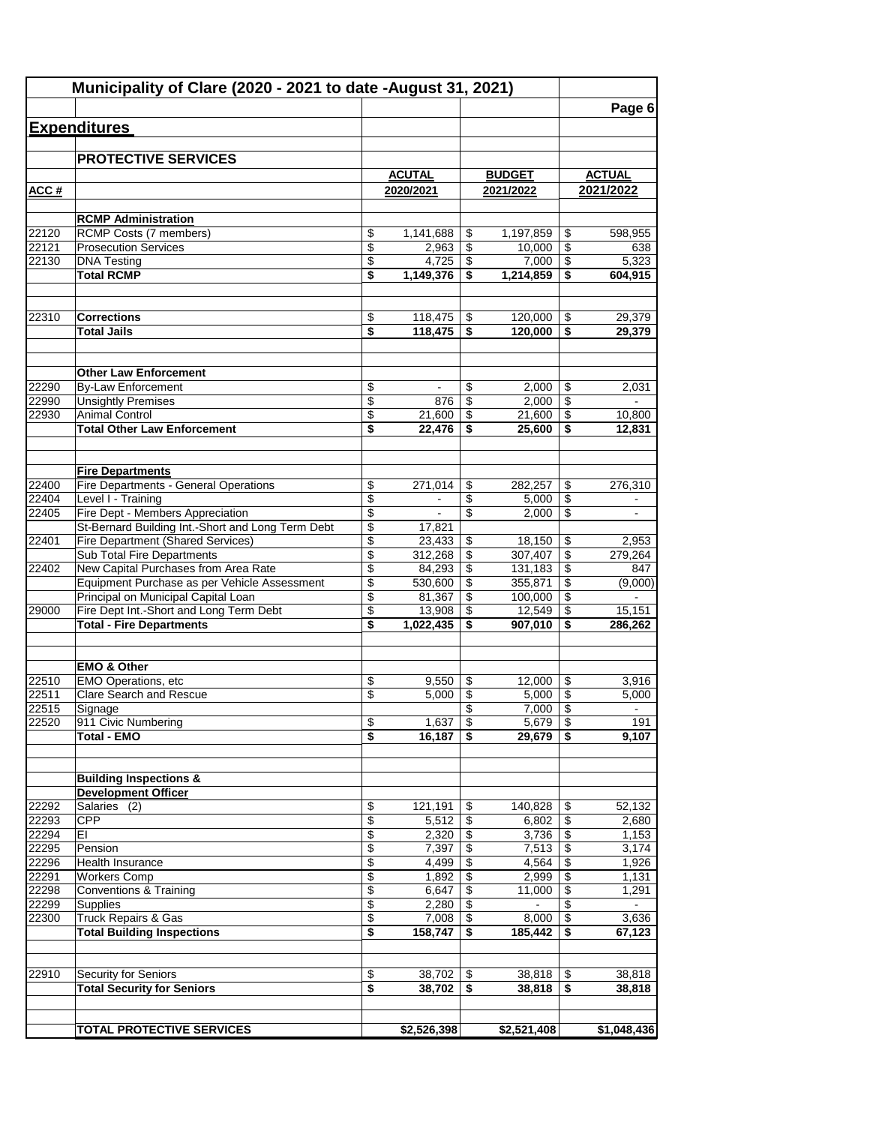| <b>Expenditures</b><br><b>PROTECTIVE SERVICES</b><br><b>ACUTAL</b><br><b>ACTUAL</b><br><b>BUDGET</b><br>2021/2022<br>ACC#<br>2020/2021<br>2021/2022<br><b>RCMP Administration</b><br>22120<br>RCMP Costs (7 members)<br>\$<br>1,141,688<br>598,955<br>1,197,859<br>\$<br>\$<br>$\overline{\mathcal{L}}$<br>$\overline{\mathcal{S}}$<br>22121<br><b>Prosecution Services</b><br>2,963<br>\$<br>10,000<br>\$<br>$\overline{\$}$<br>22130<br><b>DNA Testing</b><br>4,725<br>7,000<br>\$<br><b>Total RCMP</b><br>\$<br>\$<br>1,149,376<br>\$<br>1,214,859<br><b>Corrections</b><br>22310<br>\$<br>118,475<br>120,000<br>\$<br>\$<br><b>Total Jails</b><br>\$<br>118,475<br>120,000<br>29,379<br>\$<br>\$<br><b>Other Law Enforcement</b><br>22290<br><b>By-Law Enforcement</b><br>\$<br>2,000<br>\$<br>\$<br>$\blacksquare$<br>\$<br>22990<br><b>Unsightly Premises</b><br>\$<br>2,000<br>\$<br>876<br>\$<br>$\overline{\boldsymbol{\epsilon}}$<br>22930<br><b>Animal Control</b><br>\$<br>21,600<br>21,600<br><b>Total Other Law Enforcement</b><br>\$<br>22,476<br>\$<br>25.600<br>\$<br>12,831<br><b>Fire Departments</b><br>Fire Departments - General Operations<br>22400<br>\$<br>271.014<br>282,257<br>\$<br>\$<br>22404<br>Level I - Training<br>\$<br>$\overline{\$}$<br>\$<br>5,000<br>$\blacksquare$<br>Fire Dept - Members Appreciation<br>22405<br>\$<br>\$<br>2,000<br>\$<br>$\blacksquare$<br>St-Bernard Building Int.-Short and Long Term Debt<br>\$<br>17,821<br><b>Fire Department (Shared Services)</b><br>\$<br>22401<br>23,433<br>\$<br>\$<br>18,150<br>2,953<br>Sub Total Fire Departments<br>\$<br>\$<br>312,268<br>\$<br>307,407<br>New Capital Purchases from Area Rate<br>\$<br>\$<br>84,293<br>\$<br>131,183<br>22402<br>Equipment Purchase as per Vehicle Assessment<br>\$<br>\$<br>530,600<br>355,871<br>\$<br>\$<br>\$<br>Principal on Municipal Capital Loan<br>81,367<br>\$<br>100,000<br>Fire Dept Int.-Short and Long Term Debt<br>\$<br>$\overline{\$}$<br>29000<br>13,908<br>12,549<br>\$<br><b>Total - Fire Departments</b><br>\$<br>1,022,435<br>\$<br>\$<br>907,010<br>286,262<br><b>EMO &amp; Other</b><br>EMO Operations, etc<br>22510<br>\$<br>12.000<br>\$<br>9.550<br>\$<br>Clare Search and Rescue<br>\$<br>$\overline{\boldsymbol{\theta}}$<br>22511<br>5,000<br>5,000<br>\$<br>$\overline{\mathcal{S}}$<br>22515<br>\$<br>7,000<br>Signage<br>$\blacksquare$<br>$\boldsymbol{\theta}$<br>911 Civic Numbering<br>22520<br>1,637<br>\$<br>5,679<br>\$<br>\$<br><b>Total - EMO</b><br>16,187<br>\$<br>29,679<br>\$<br><b>Building Inspections &amp;</b><br><b>Development Officer</b><br>22292<br>Salaries (2)<br>\$<br>121,191<br>\$<br>140,828<br>\$<br>$\overline{\mathcal{L}}$<br>22293<br><b>CPP</b><br>5,512<br>\$<br>\$<br>6,802<br>\$<br>$\overline{\$}$<br>22294<br>EI<br>2,320<br>\$<br>3,736<br>22295<br>\$<br>$\overline{\mathbf{e}}$<br>7,397<br>\$<br>7,513<br>Pension<br>22296<br>Health Insurance<br>\$<br>4,499<br>\$<br>4,564<br>\$<br>\$<br>\$<br>22291<br><b>Workers Comp</b><br>1,892<br>\$<br>2,999<br>22298<br>$\overline{\$}$<br>$\overline{\$}$<br>Conventions & Training<br>\$<br>6,647<br>11,000<br><b>Supplies</b><br>\$<br>$\overline{\boldsymbol{\theta}}$<br>22299<br>2,280<br>\$<br>$\blacksquare$<br><b>Truck Repairs &amp; Gas</b><br>\$<br>$\overline{\mathbf{e}}$<br>\$<br>22300<br>7,008<br>8,000<br><b>Total Building Inspections</b><br>\$<br>185,442<br>\$<br>158,747<br>\$<br>22910<br>Security for Seniors<br>\$<br>38,702<br>\$<br>38,818<br>\$<br><b>Total Security for Seniors</b><br>\$<br>38,702<br>\$<br>38,818<br>\$<br>38,818 | Municipality of Clare (2020 - 2021 to date - August 31, 2021) |             |             |                 |
|-------------------------------------------------------------------------------------------------------------------------------------------------------------------------------------------------------------------------------------------------------------------------------------------------------------------------------------------------------------------------------------------------------------------------------------------------------------------------------------------------------------------------------------------------------------------------------------------------------------------------------------------------------------------------------------------------------------------------------------------------------------------------------------------------------------------------------------------------------------------------------------------------------------------------------------------------------------------------------------------------------------------------------------------------------------------------------------------------------------------------------------------------------------------------------------------------------------------------------------------------------------------------------------------------------------------------------------------------------------------------------------------------------------------------------------------------------------------------------------------------------------------------------------------------------------------------------------------------------------------------------------------------------------------------------------------------------------------------------------------------------------------------------------------------------------------------------------------------------------------------------------------------------------------------------------------------------------------------------------------------------------------------------------------------------------------------------------------------------------------------------------------------------------------------------------------------------------------------------------------------------------------------------------------------------------------------------------------------------------------------------------------------------------------------------------------------------------------------------------------------------------------------------------------------------------------------------------------------------------------------------------------------------------------------------------------------------------------------------------------------------------------------------------------------------------------------------------------------------------------------------------------------------------------------------------------------------------------------------------------------------------------------------------------------------------------------------------------------------------------------------------------------------------------------------------------------------------------------------------------------------------------------------------------------------------------------------------------------------------------------------------------------------------------------------------------------------------------------------------------------------------------------------------------------------------------------------------------------------------------------|---------------------------------------------------------------|-------------|-------------|-----------------|
|                                                                                                                                                                                                                                                                                                                                                                                                                                                                                                                                                                                                                                                                                                                                                                                                                                                                                                                                                                                                                                                                                                                                                                                                                                                                                                                                                                                                                                                                                                                                                                                                                                                                                                                                                                                                                                                                                                                                                                                                                                                                                                                                                                                                                                                                                                                                                                                                                                                                                                                                                                                                                                                                                                                                                                                                                                                                                                                                                                                                                                                                                                                                                                                                                                                                                                                                                                                                                                                                                                                                                                                                                         |                                                               |             |             | Page 6          |
|                                                                                                                                                                                                                                                                                                                                                                                                                                                                                                                                                                                                                                                                                                                                                                                                                                                                                                                                                                                                                                                                                                                                                                                                                                                                                                                                                                                                                                                                                                                                                                                                                                                                                                                                                                                                                                                                                                                                                                                                                                                                                                                                                                                                                                                                                                                                                                                                                                                                                                                                                                                                                                                                                                                                                                                                                                                                                                                                                                                                                                                                                                                                                                                                                                                                                                                                                                                                                                                                                                                                                                                                                         |                                                               |             |             |                 |
|                                                                                                                                                                                                                                                                                                                                                                                                                                                                                                                                                                                                                                                                                                                                                                                                                                                                                                                                                                                                                                                                                                                                                                                                                                                                                                                                                                                                                                                                                                                                                                                                                                                                                                                                                                                                                                                                                                                                                                                                                                                                                                                                                                                                                                                                                                                                                                                                                                                                                                                                                                                                                                                                                                                                                                                                                                                                                                                                                                                                                                                                                                                                                                                                                                                                                                                                                                                                                                                                                                                                                                                                                         |                                                               |             |             |                 |
|                                                                                                                                                                                                                                                                                                                                                                                                                                                                                                                                                                                                                                                                                                                                                                                                                                                                                                                                                                                                                                                                                                                                                                                                                                                                                                                                                                                                                                                                                                                                                                                                                                                                                                                                                                                                                                                                                                                                                                                                                                                                                                                                                                                                                                                                                                                                                                                                                                                                                                                                                                                                                                                                                                                                                                                                                                                                                                                                                                                                                                                                                                                                                                                                                                                                                                                                                                                                                                                                                                                                                                                                                         |                                                               |             |             |                 |
|                                                                                                                                                                                                                                                                                                                                                                                                                                                                                                                                                                                                                                                                                                                                                                                                                                                                                                                                                                                                                                                                                                                                                                                                                                                                                                                                                                                                                                                                                                                                                                                                                                                                                                                                                                                                                                                                                                                                                                                                                                                                                                                                                                                                                                                                                                                                                                                                                                                                                                                                                                                                                                                                                                                                                                                                                                                                                                                                                                                                                                                                                                                                                                                                                                                                                                                                                                                                                                                                                                                                                                                                                         |                                                               |             |             |                 |
|                                                                                                                                                                                                                                                                                                                                                                                                                                                                                                                                                                                                                                                                                                                                                                                                                                                                                                                                                                                                                                                                                                                                                                                                                                                                                                                                                                                                                                                                                                                                                                                                                                                                                                                                                                                                                                                                                                                                                                                                                                                                                                                                                                                                                                                                                                                                                                                                                                                                                                                                                                                                                                                                                                                                                                                                                                                                                                                                                                                                                                                                                                                                                                                                                                                                                                                                                                                                                                                                                                                                                                                                                         |                                                               |             |             |                 |
|                                                                                                                                                                                                                                                                                                                                                                                                                                                                                                                                                                                                                                                                                                                                                                                                                                                                                                                                                                                                                                                                                                                                                                                                                                                                                                                                                                                                                                                                                                                                                                                                                                                                                                                                                                                                                                                                                                                                                                                                                                                                                                                                                                                                                                                                                                                                                                                                                                                                                                                                                                                                                                                                                                                                                                                                                                                                                                                                                                                                                                                                                                                                                                                                                                                                                                                                                                                                                                                                                                                                                                                                                         |                                                               |             |             |                 |
|                                                                                                                                                                                                                                                                                                                                                                                                                                                                                                                                                                                                                                                                                                                                                                                                                                                                                                                                                                                                                                                                                                                                                                                                                                                                                                                                                                                                                                                                                                                                                                                                                                                                                                                                                                                                                                                                                                                                                                                                                                                                                                                                                                                                                                                                                                                                                                                                                                                                                                                                                                                                                                                                                                                                                                                                                                                                                                                                                                                                                                                                                                                                                                                                                                                                                                                                                                                                                                                                                                                                                                                                                         |                                                               |             |             | 638             |
|                                                                                                                                                                                                                                                                                                                                                                                                                                                                                                                                                                                                                                                                                                                                                                                                                                                                                                                                                                                                                                                                                                                                                                                                                                                                                                                                                                                                                                                                                                                                                                                                                                                                                                                                                                                                                                                                                                                                                                                                                                                                                                                                                                                                                                                                                                                                                                                                                                                                                                                                                                                                                                                                                                                                                                                                                                                                                                                                                                                                                                                                                                                                                                                                                                                                                                                                                                                                                                                                                                                                                                                                                         |                                                               |             |             | 5,323           |
|                                                                                                                                                                                                                                                                                                                                                                                                                                                                                                                                                                                                                                                                                                                                                                                                                                                                                                                                                                                                                                                                                                                                                                                                                                                                                                                                                                                                                                                                                                                                                                                                                                                                                                                                                                                                                                                                                                                                                                                                                                                                                                                                                                                                                                                                                                                                                                                                                                                                                                                                                                                                                                                                                                                                                                                                                                                                                                                                                                                                                                                                                                                                                                                                                                                                                                                                                                                                                                                                                                                                                                                                                         |                                                               |             |             | 604,915         |
|                                                                                                                                                                                                                                                                                                                                                                                                                                                                                                                                                                                                                                                                                                                                                                                                                                                                                                                                                                                                                                                                                                                                                                                                                                                                                                                                                                                                                                                                                                                                                                                                                                                                                                                                                                                                                                                                                                                                                                                                                                                                                                                                                                                                                                                                                                                                                                                                                                                                                                                                                                                                                                                                                                                                                                                                                                                                                                                                                                                                                                                                                                                                                                                                                                                                                                                                                                                                                                                                                                                                                                                                                         |                                                               |             |             |                 |
|                                                                                                                                                                                                                                                                                                                                                                                                                                                                                                                                                                                                                                                                                                                                                                                                                                                                                                                                                                                                                                                                                                                                                                                                                                                                                                                                                                                                                                                                                                                                                                                                                                                                                                                                                                                                                                                                                                                                                                                                                                                                                                                                                                                                                                                                                                                                                                                                                                                                                                                                                                                                                                                                                                                                                                                                                                                                                                                                                                                                                                                                                                                                                                                                                                                                                                                                                                                                                                                                                                                                                                                                                         |                                                               |             |             | 29,379          |
|                                                                                                                                                                                                                                                                                                                                                                                                                                                                                                                                                                                                                                                                                                                                                                                                                                                                                                                                                                                                                                                                                                                                                                                                                                                                                                                                                                                                                                                                                                                                                                                                                                                                                                                                                                                                                                                                                                                                                                                                                                                                                                                                                                                                                                                                                                                                                                                                                                                                                                                                                                                                                                                                                                                                                                                                                                                                                                                                                                                                                                                                                                                                                                                                                                                                                                                                                                                                                                                                                                                                                                                                                         |                                                               |             |             |                 |
|                                                                                                                                                                                                                                                                                                                                                                                                                                                                                                                                                                                                                                                                                                                                                                                                                                                                                                                                                                                                                                                                                                                                                                                                                                                                                                                                                                                                                                                                                                                                                                                                                                                                                                                                                                                                                                                                                                                                                                                                                                                                                                                                                                                                                                                                                                                                                                                                                                                                                                                                                                                                                                                                                                                                                                                                                                                                                                                                                                                                                                                                                                                                                                                                                                                                                                                                                                                                                                                                                                                                                                                                                         |                                                               |             |             |                 |
|                                                                                                                                                                                                                                                                                                                                                                                                                                                                                                                                                                                                                                                                                                                                                                                                                                                                                                                                                                                                                                                                                                                                                                                                                                                                                                                                                                                                                                                                                                                                                                                                                                                                                                                                                                                                                                                                                                                                                                                                                                                                                                                                                                                                                                                                                                                                                                                                                                                                                                                                                                                                                                                                                                                                                                                                                                                                                                                                                                                                                                                                                                                                                                                                                                                                                                                                                                                                                                                                                                                                                                                                                         |                                                               |             |             | 2,031           |
|                                                                                                                                                                                                                                                                                                                                                                                                                                                                                                                                                                                                                                                                                                                                                                                                                                                                                                                                                                                                                                                                                                                                                                                                                                                                                                                                                                                                                                                                                                                                                                                                                                                                                                                                                                                                                                                                                                                                                                                                                                                                                                                                                                                                                                                                                                                                                                                                                                                                                                                                                                                                                                                                                                                                                                                                                                                                                                                                                                                                                                                                                                                                                                                                                                                                                                                                                                                                                                                                                                                                                                                                                         |                                                               |             |             | $\blacksquare$  |
|                                                                                                                                                                                                                                                                                                                                                                                                                                                                                                                                                                                                                                                                                                                                                                                                                                                                                                                                                                                                                                                                                                                                                                                                                                                                                                                                                                                                                                                                                                                                                                                                                                                                                                                                                                                                                                                                                                                                                                                                                                                                                                                                                                                                                                                                                                                                                                                                                                                                                                                                                                                                                                                                                                                                                                                                                                                                                                                                                                                                                                                                                                                                                                                                                                                                                                                                                                                                                                                                                                                                                                                                                         |                                                               |             |             | 10,800          |
|                                                                                                                                                                                                                                                                                                                                                                                                                                                                                                                                                                                                                                                                                                                                                                                                                                                                                                                                                                                                                                                                                                                                                                                                                                                                                                                                                                                                                                                                                                                                                                                                                                                                                                                                                                                                                                                                                                                                                                                                                                                                                                                                                                                                                                                                                                                                                                                                                                                                                                                                                                                                                                                                                                                                                                                                                                                                                                                                                                                                                                                                                                                                                                                                                                                                                                                                                                                                                                                                                                                                                                                                                         |                                                               |             |             |                 |
|                                                                                                                                                                                                                                                                                                                                                                                                                                                                                                                                                                                                                                                                                                                                                                                                                                                                                                                                                                                                                                                                                                                                                                                                                                                                                                                                                                                                                                                                                                                                                                                                                                                                                                                                                                                                                                                                                                                                                                                                                                                                                                                                                                                                                                                                                                                                                                                                                                                                                                                                                                                                                                                                                                                                                                                                                                                                                                                                                                                                                                                                                                                                                                                                                                                                                                                                                                                                                                                                                                                                                                                                                         |                                                               |             |             |                 |
|                                                                                                                                                                                                                                                                                                                                                                                                                                                                                                                                                                                                                                                                                                                                                                                                                                                                                                                                                                                                                                                                                                                                                                                                                                                                                                                                                                                                                                                                                                                                                                                                                                                                                                                                                                                                                                                                                                                                                                                                                                                                                                                                                                                                                                                                                                                                                                                                                                                                                                                                                                                                                                                                                                                                                                                                                                                                                                                                                                                                                                                                                                                                                                                                                                                                                                                                                                                                                                                                                                                                                                                                                         |                                                               |             |             | 276,310         |
|                                                                                                                                                                                                                                                                                                                                                                                                                                                                                                                                                                                                                                                                                                                                                                                                                                                                                                                                                                                                                                                                                                                                                                                                                                                                                                                                                                                                                                                                                                                                                                                                                                                                                                                                                                                                                                                                                                                                                                                                                                                                                                                                                                                                                                                                                                                                                                                                                                                                                                                                                                                                                                                                                                                                                                                                                                                                                                                                                                                                                                                                                                                                                                                                                                                                                                                                                                                                                                                                                                                                                                                                                         |                                                               |             |             | $\blacksquare$  |
|                                                                                                                                                                                                                                                                                                                                                                                                                                                                                                                                                                                                                                                                                                                                                                                                                                                                                                                                                                                                                                                                                                                                                                                                                                                                                                                                                                                                                                                                                                                                                                                                                                                                                                                                                                                                                                                                                                                                                                                                                                                                                                                                                                                                                                                                                                                                                                                                                                                                                                                                                                                                                                                                                                                                                                                                                                                                                                                                                                                                                                                                                                                                                                                                                                                                                                                                                                                                                                                                                                                                                                                                                         |                                                               |             |             | $\mathbf{r}$    |
|                                                                                                                                                                                                                                                                                                                                                                                                                                                                                                                                                                                                                                                                                                                                                                                                                                                                                                                                                                                                                                                                                                                                                                                                                                                                                                                                                                                                                                                                                                                                                                                                                                                                                                                                                                                                                                                                                                                                                                                                                                                                                                                                                                                                                                                                                                                                                                                                                                                                                                                                                                                                                                                                                                                                                                                                                                                                                                                                                                                                                                                                                                                                                                                                                                                                                                                                                                                                                                                                                                                                                                                                                         |                                                               |             |             |                 |
|                                                                                                                                                                                                                                                                                                                                                                                                                                                                                                                                                                                                                                                                                                                                                                                                                                                                                                                                                                                                                                                                                                                                                                                                                                                                                                                                                                                                                                                                                                                                                                                                                                                                                                                                                                                                                                                                                                                                                                                                                                                                                                                                                                                                                                                                                                                                                                                                                                                                                                                                                                                                                                                                                                                                                                                                                                                                                                                                                                                                                                                                                                                                                                                                                                                                                                                                                                                                                                                                                                                                                                                                                         |                                                               |             |             | 279,264         |
|                                                                                                                                                                                                                                                                                                                                                                                                                                                                                                                                                                                                                                                                                                                                                                                                                                                                                                                                                                                                                                                                                                                                                                                                                                                                                                                                                                                                                                                                                                                                                                                                                                                                                                                                                                                                                                                                                                                                                                                                                                                                                                                                                                                                                                                                                                                                                                                                                                                                                                                                                                                                                                                                                                                                                                                                                                                                                                                                                                                                                                                                                                                                                                                                                                                                                                                                                                                                                                                                                                                                                                                                                         |                                                               |             |             | 847             |
|                                                                                                                                                                                                                                                                                                                                                                                                                                                                                                                                                                                                                                                                                                                                                                                                                                                                                                                                                                                                                                                                                                                                                                                                                                                                                                                                                                                                                                                                                                                                                                                                                                                                                                                                                                                                                                                                                                                                                                                                                                                                                                                                                                                                                                                                                                                                                                                                                                                                                                                                                                                                                                                                                                                                                                                                                                                                                                                                                                                                                                                                                                                                                                                                                                                                                                                                                                                                                                                                                                                                                                                                                         |                                                               |             |             | (9,000)         |
|                                                                                                                                                                                                                                                                                                                                                                                                                                                                                                                                                                                                                                                                                                                                                                                                                                                                                                                                                                                                                                                                                                                                                                                                                                                                                                                                                                                                                                                                                                                                                                                                                                                                                                                                                                                                                                                                                                                                                                                                                                                                                                                                                                                                                                                                                                                                                                                                                                                                                                                                                                                                                                                                                                                                                                                                                                                                                                                                                                                                                                                                                                                                                                                                                                                                                                                                                                                                                                                                                                                                                                                                                         |                                                               |             |             |                 |
|                                                                                                                                                                                                                                                                                                                                                                                                                                                                                                                                                                                                                                                                                                                                                                                                                                                                                                                                                                                                                                                                                                                                                                                                                                                                                                                                                                                                                                                                                                                                                                                                                                                                                                                                                                                                                                                                                                                                                                                                                                                                                                                                                                                                                                                                                                                                                                                                                                                                                                                                                                                                                                                                                                                                                                                                                                                                                                                                                                                                                                                                                                                                                                                                                                                                                                                                                                                                                                                                                                                                                                                                                         |                                                               |             |             | 15,151          |
|                                                                                                                                                                                                                                                                                                                                                                                                                                                                                                                                                                                                                                                                                                                                                                                                                                                                                                                                                                                                                                                                                                                                                                                                                                                                                                                                                                                                                                                                                                                                                                                                                                                                                                                                                                                                                                                                                                                                                                                                                                                                                                                                                                                                                                                                                                                                                                                                                                                                                                                                                                                                                                                                                                                                                                                                                                                                                                                                                                                                                                                                                                                                                                                                                                                                                                                                                                                                                                                                                                                                                                                                                         |                                                               |             |             |                 |
|                                                                                                                                                                                                                                                                                                                                                                                                                                                                                                                                                                                                                                                                                                                                                                                                                                                                                                                                                                                                                                                                                                                                                                                                                                                                                                                                                                                                                                                                                                                                                                                                                                                                                                                                                                                                                                                                                                                                                                                                                                                                                                                                                                                                                                                                                                                                                                                                                                                                                                                                                                                                                                                                                                                                                                                                                                                                                                                                                                                                                                                                                                                                                                                                                                                                                                                                                                                                                                                                                                                                                                                                                         |                                                               |             |             |                 |
|                                                                                                                                                                                                                                                                                                                                                                                                                                                                                                                                                                                                                                                                                                                                                                                                                                                                                                                                                                                                                                                                                                                                                                                                                                                                                                                                                                                                                                                                                                                                                                                                                                                                                                                                                                                                                                                                                                                                                                                                                                                                                                                                                                                                                                                                                                                                                                                                                                                                                                                                                                                                                                                                                                                                                                                                                                                                                                                                                                                                                                                                                                                                                                                                                                                                                                                                                                                                                                                                                                                                                                                                                         |                                                               |             |             | 3,916           |
|                                                                                                                                                                                                                                                                                                                                                                                                                                                                                                                                                                                                                                                                                                                                                                                                                                                                                                                                                                                                                                                                                                                                                                                                                                                                                                                                                                                                                                                                                                                                                                                                                                                                                                                                                                                                                                                                                                                                                                                                                                                                                                                                                                                                                                                                                                                                                                                                                                                                                                                                                                                                                                                                                                                                                                                                                                                                                                                                                                                                                                                                                                                                                                                                                                                                                                                                                                                                                                                                                                                                                                                                                         |                                                               |             |             | 5,000           |
|                                                                                                                                                                                                                                                                                                                                                                                                                                                                                                                                                                                                                                                                                                                                                                                                                                                                                                                                                                                                                                                                                                                                                                                                                                                                                                                                                                                                                                                                                                                                                                                                                                                                                                                                                                                                                                                                                                                                                                                                                                                                                                                                                                                                                                                                                                                                                                                                                                                                                                                                                                                                                                                                                                                                                                                                                                                                                                                                                                                                                                                                                                                                                                                                                                                                                                                                                                                                                                                                                                                                                                                                                         |                                                               |             |             |                 |
|                                                                                                                                                                                                                                                                                                                                                                                                                                                                                                                                                                                                                                                                                                                                                                                                                                                                                                                                                                                                                                                                                                                                                                                                                                                                                                                                                                                                                                                                                                                                                                                                                                                                                                                                                                                                                                                                                                                                                                                                                                                                                                                                                                                                                                                                                                                                                                                                                                                                                                                                                                                                                                                                                                                                                                                                                                                                                                                                                                                                                                                                                                                                                                                                                                                                                                                                                                                                                                                                                                                                                                                                                         |                                                               |             |             | 191<br>9.107    |
|                                                                                                                                                                                                                                                                                                                                                                                                                                                                                                                                                                                                                                                                                                                                                                                                                                                                                                                                                                                                                                                                                                                                                                                                                                                                                                                                                                                                                                                                                                                                                                                                                                                                                                                                                                                                                                                                                                                                                                                                                                                                                                                                                                                                                                                                                                                                                                                                                                                                                                                                                                                                                                                                                                                                                                                                                                                                                                                                                                                                                                                                                                                                                                                                                                                                                                                                                                                                                                                                                                                                                                                                                         |                                                               |             |             |                 |
|                                                                                                                                                                                                                                                                                                                                                                                                                                                                                                                                                                                                                                                                                                                                                                                                                                                                                                                                                                                                                                                                                                                                                                                                                                                                                                                                                                                                                                                                                                                                                                                                                                                                                                                                                                                                                                                                                                                                                                                                                                                                                                                                                                                                                                                                                                                                                                                                                                                                                                                                                                                                                                                                                                                                                                                                                                                                                                                                                                                                                                                                                                                                                                                                                                                                                                                                                                                                                                                                                                                                                                                                                         |                                                               |             |             |                 |
|                                                                                                                                                                                                                                                                                                                                                                                                                                                                                                                                                                                                                                                                                                                                                                                                                                                                                                                                                                                                                                                                                                                                                                                                                                                                                                                                                                                                                                                                                                                                                                                                                                                                                                                                                                                                                                                                                                                                                                                                                                                                                                                                                                                                                                                                                                                                                                                                                                                                                                                                                                                                                                                                                                                                                                                                                                                                                                                                                                                                                                                                                                                                                                                                                                                                                                                                                                                                                                                                                                                                                                                                                         |                                                               |             |             |                 |
|                                                                                                                                                                                                                                                                                                                                                                                                                                                                                                                                                                                                                                                                                                                                                                                                                                                                                                                                                                                                                                                                                                                                                                                                                                                                                                                                                                                                                                                                                                                                                                                                                                                                                                                                                                                                                                                                                                                                                                                                                                                                                                                                                                                                                                                                                                                                                                                                                                                                                                                                                                                                                                                                                                                                                                                                                                                                                                                                                                                                                                                                                                                                                                                                                                                                                                                                                                                                                                                                                                                                                                                                                         |                                                               |             |             | 52,132<br>2,680 |
|                                                                                                                                                                                                                                                                                                                                                                                                                                                                                                                                                                                                                                                                                                                                                                                                                                                                                                                                                                                                                                                                                                                                                                                                                                                                                                                                                                                                                                                                                                                                                                                                                                                                                                                                                                                                                                                                                                                                                                                                                                                                                                                                                                                                                                                                                                                                                                                                                                                                                                                                                                                                                                                                                                                                                                                                                                                                                                                                                                                                                                                                                                                                                                                                                                                                                                                                                                                                                                                                                                                                                                                                                         |                                                               |             |             | 1,153           |
|                                                                                                                                                                                                                                                                                                                                                                                                                                                                                                                                                                                                                                                                                                                                                                                                                                                                                                                                                                                                                                                                                                                                                                                                                                                                                                                                                                                                                                                                                                                                                                                                                                                                                                                                                                                                                                                                                                                                                                                                                                                                                                                                                                                                                                                                                                                                                                                                                                                                                                                                                                                                                                                                                                                                                                                                                                                                                                                                                                                                                                                                                                                                                                                                                                                                                                                                                                                                                                                                                                                                                                                                                         |                                                               |             |             | 3.174           |
|                                                                                                                                                                                                                                                                                                                                                                                                                                                                                                                                                                                                                                                                                                                                                                                                                                                                                                                                                                                                                                                                                                                                                                                                                                                                                                                                                                                                                                                                                                                                                                                                                                                                                                                                                                                                                                                                                                                                                                                                                                                                                                                                                                                                                                                                                                                                                                                                                                                                                                                                                                                                                                                                                                                                                                                                                                                                                                                                                                                                                                                                                                                                                                                                                                                                                                                                                                                                                                                                                                                                                                                                                         |                                                               |             |             | 1,926           |
|                                                                                                                                                                                                                                                                                                                                                                                                                                                                                                                                                                                                                                                                                                                                                                                                                                                                                                                                                                                                                                                                                                                                                                                                                                                                                                                                                                                                                                                                                                                                                                                                                                                                                                                                                                                                                                                                                                                                                                                                                                                                                                                                                                                                                                                                                                                                                                                                                                                                                                                                                                                                                                                                                                                                                                                                                                                                                                                                                                                                                                                                                                                                                                                                                                                                                                                                                                                                                                                                                                                                                                                                                         |                                                               |             |             | 1,131           |
|                                                                                                                                                                                                                                                                                                                                                                                                                                                                                                                                                                                                                                                                                                                                                                                                                                                                                                                                                                                                                                                                                                                                                                                                                                                                                                                                                                                                                                                                                                                                                                                                                                                                                                                                                                                                                                                                                                                                                                                                                                                                                                                                                                                                                                                                                                                                                                                                                                                                                                                                                                                                                                                                                                                                                                                                                                                                                                                                                                                                                                                                                                                                                                                                                                                                                                                                                                                                                                                                                                                                                                                                                         |                                                               |             |             | 1,291           |
|                                                                                                                                                                                                                                                                                                                                                                                                                                                                                                                                                                                                                                                                                                                                                                                                                                                                                                                                                                                                                                                                                                                                                                                                                                                                                                                                                                                                                                                                                                                                                                                                                                                                                                                                                                                                                                                                                                                                                                                                                                                                                                                                                                                                                                                                                                                                                                                                                                                                                                                                                                                                                                                                                                                                                                                                                                                                                                                                                                                                                                                                                                                                                                                                                                                                                                                                                                                                                                                                                                                                                                                                                         |                                                               |             |             | $\sim$<br>3,636 |
|                                                                                                                                                                                                                                                                                                                                                                                                                                                                                                                                                                                                                                                                                                                                                                                                                                                                                                                                                                                                                                                                                                                                                                                                                                                                                                                                                                                                                                                                                                                                                                                                                                                                                                                                                                                                                                                                                                                                                                                                                                                                                                                                                                                                                                                                                                                                                                                                                                                                                                                                                                                                                                                                                                                                                                                                                                                                                                                                                                                                                                                                                                                                                                                                                                                                                                                                                                                                                                                                                                                                                                                                                         |                                                               |             |             | 67,123          |
|                                                                                                                                                                                                                                                                                                                                                                                                                                                                                                                                                                                                                                                                                                                                                                                                                                                                                                                                                                                                                                                                                                                                                                                                                                                                                                                                                                                                                                                                                                                                                                                                                                                                                                                                                                                                                                                                                                                                                                                                                                                                                                                                                                                                                                                                                                                                                                                                                                                                                                                                                                                                                                                                                                                                                                                                                                                                                                                                                                                                                                                                                                                                                                                                                                                                                                                                                                                                                                                                                                                                                                                                                         |                                                               |             |             |                 |
|                                                                                                                                                                                                                                                                                                                                                                                                                                                                                                                                                                                                                                                                                                                                                                                                                                                                                                                                                                                                                                                                                                                                                                                                                                                                                                                                                                                                                                                                                                                                                                                                                                                                                                                                                                                                                                                                                                                                                                                                                                                                                                                                                                                                                                                                                                                                                                                                                                                                                                                                                                                                                                                                                                                                                                                                                                                                                                                                                                                                                                                                                                                                                                                                                                                                                                                                                                                                                                                                                                                                                                                                                         |                                                               |             |             | 38,818          |
|                                                                                                                                                                                                                                                                                                                                                                                                                                                                                                                                                                                                                                                                                                                                                                                                                                                                                                                                                                                                                                                                                                                                                                                                                                                                                                                                                                                                                                                                                                                                                                                                                                                                                                                                                                                                                                                                                                                                                                                                                                                                                                                                                                                                                                                                                                                                                                                                                                                                                                                                                                                                                                                                                                                                                                                                                                                                                                                                                                                                                                                                                                                                                                                                                                                                                                                                                                                                                                                                                                                                                                                                                         |                                                               |             |             |                 |
|                                                                                                                                                                                                                                                                                                                                                                                                                                                                                                                                                                                                                                                                                                                                                                                                                                                                                                                                                                                                                                                                                                                                                                                                                                                                                                                                                                                                                                                                                                                                                                                                                                                                                                                                                                                                                                                                                                                                                                                                                                                                                                                                                                                                                                                                                                                                                                                                                                                                                                                                                                                                                                                                                                                                                                                                                                                                                                                                                                                                                                                                                                                                                                                                                                                                                                                                                                                                                                                                                                                                                                                                                         | <b>TOTAL PROTECTIVE SERVICES</b>                              | \$2,526,398 | \$2,521,408 | \$1,048,436     |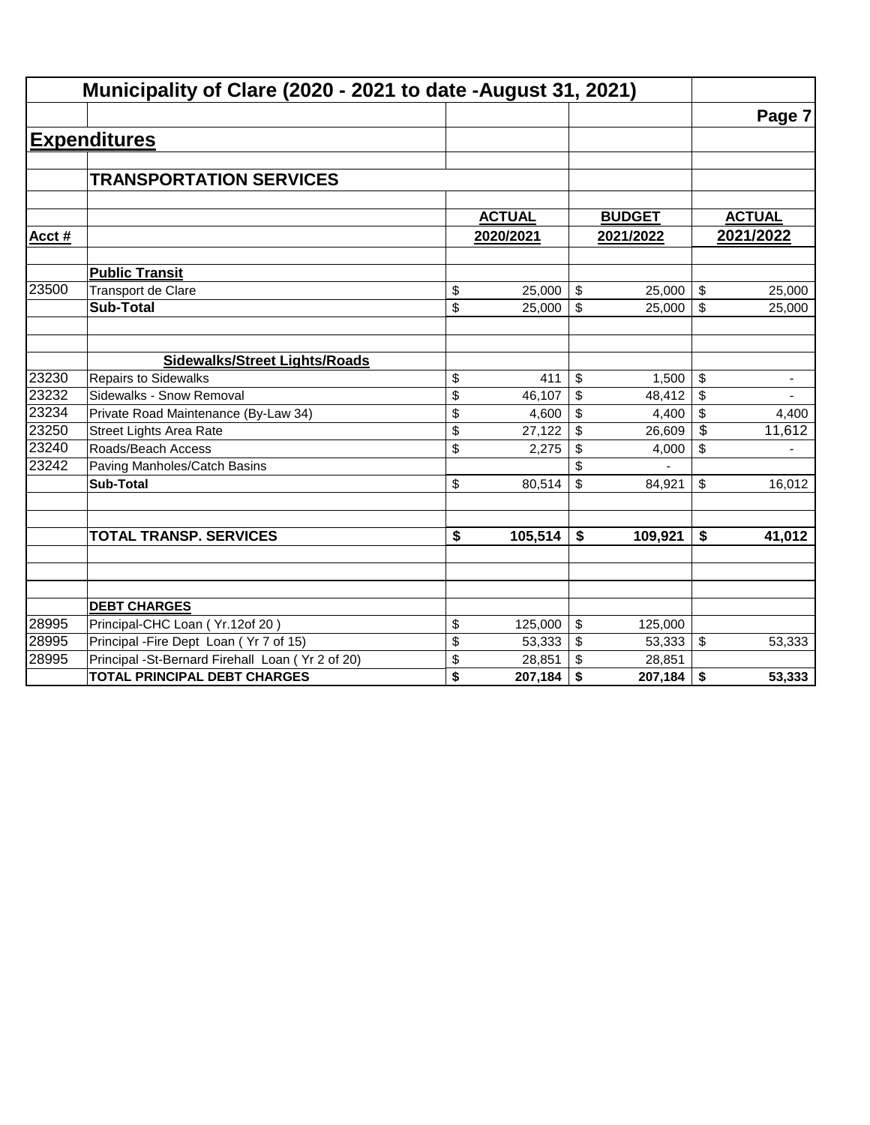|       | Municipality of Clare (2020 - 2021 to date -August 31, 2021) |                                      |               |                         |               |                          |               |
|-------|--------------------------------------------------------------|--------------------------------------|---------------|-------------------------|---------------|--------------------------|---------------|
|       |                                                              |                                      |               |                         |               |                          | Page 7        |
|       | <b>Expenditures</b>                                          |                                      |               |                         |               |                          |               |
|       |                                                              |                                      |               |                         |               |                          |               |
|       | <b>TRANSPORTATION SERVICES</b>                               |                                      |               |                         |               |                          |               |
|       |                                                              |                                      |               |                         |               |                          |               |
|       |                                                              |                                      | <b>ACTUAL</b> |                         | <b>BUDGET</b> |                          | <b>ACTUAL</b> |
| Acct# |                                                              |                                      | 2020/2021     |                         | 2021/2022     |                          | 2021/2022     |
|       | <b>Public Transit</b>                                        |                                      |               |                         |               |                          |               |
| 23500 | <b>Transport de Clare</b>                                    | \$                                   | 25,000        | \$                      | 25,000        | \$                       | 25,000        |
|       | <b>Sub-Total</b>                                             | \$                                   | 25,000        | $\mathfrak{S}$          | 25,000        | \$                       | 25,000        |
|       |                                                              |                                      |               |                         |               |                          |               |
|       | <b>Sidewalks/Street Lights/Roads</b>                         |                                      |               |                         |               |                          |               |
| 23230 | <b>Repairs to Sidewalks</b>                                  | \$                                   | 411           | \$                      | 1,500         | \$                       | ۰             |
| 23232 | Sidewalks - Snow Removal                                     | \$                                   | 46,107        | \$                      | 48,412        | \$                       |               |
| 23234 | Private Road Maintenance (By-Law 34)                         | \$                                   | 4,600         | \$                      | 4,400         | \$                       | 4,400         |
| 23250 | <b>Street Lights Area Rate</b>                               | \$                                   | 27,122        | \$                      | 26,609        | $\overline{\mathcal{L}}$ | 11,612        |
| 23240 | Roads/Beach Access                                           | \$                                   | 2,275         | \$                      | 4,000         | \$                       |               |
| 23242 | Paving Manholes/Catch Basins                                 |                                      |               | \$                      |               |                          |               |
|       | <b>Sub-Total</b>                                             | \$                                   | 80,514        | \$                      | 84,921        | \$                       | 16,012        |
|       |                                                              |                                      |               |                         |               |                          |               |
|       | <b>TOTAL TRANSP. SERVICES</b>                                | $\overline{\boldsymbol{\mathsf{s}}}$ | 105,514       | \$                      | 109,921       | \$                       | 41,012        |
|       |                                                              |                                      |               |                         |               |                          |               |
|       |                                                              |                                      |               |                         |               |                          |               |
|       | <b>DEBT CHARGES</b>                                          |                                      |               |                         |               |                          |               |
| 28995 | Principal-CHC Loan (Yr.12of 20)                              | \$                                   | 125,000       | $\sqrt[6]{\frac{1}{2}}$ | 125,000       |                          |               |
| 28995 | Principal - Fire Dept Loan (Yr 7 of 15)                      | \$                                   | 53,333        | $\sqrt[6]{\frac{1}{2}}$ | 53,333        | \$                       | 53,333        |
| 28995 | Principal -St-Bernard Firehall Loan (Yr 2 of 20)             | \$                                   | 28,851        | \$                      | 28,851        |                          |               |
|       | <b>TOTAL PRINCIPAL DEBT CHARGES</b>                          | \$                                   | 207,184       | \$                      | 207,184       | \$                       | 53,333        |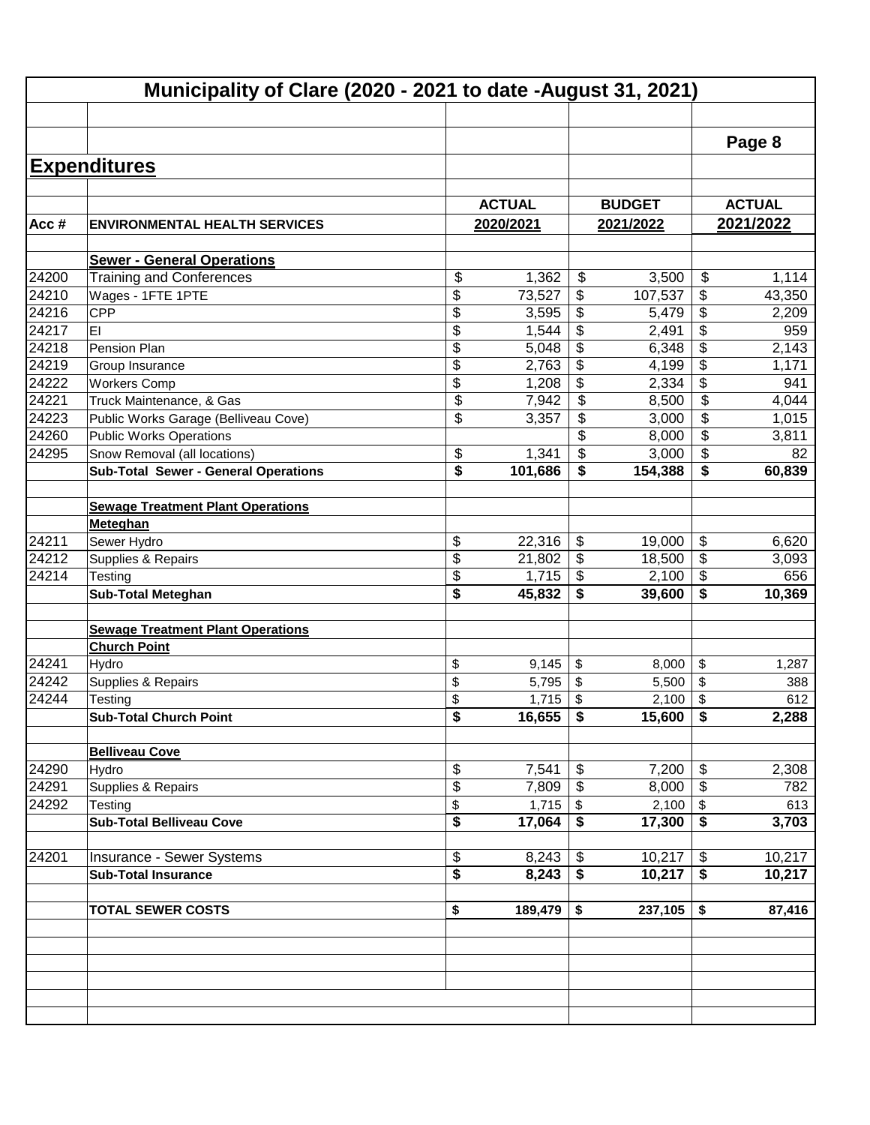|       | Municipality of Clare (2020 - 2021 to date -August 31, 2021) |               |                           |               |                                      |               |
|-------|--------------------------------------------------------------|---------------|---------------------------|---------------|--------------------------------------|---------------|
|       |                                                              |               |                           |               |                                      |               |
|       |                                                              |               |                           |               |                                      | Page 8        |
|       | <b>Expenditures</b>                                          |               |                           |               |                                      |               |
|       |                                                              |               |                           |               |                                      |               |
|       |                                                              | <b>ACTUAL</b> |                           | <b>BUDGET</b> |                                      | <b>ACTUAL</b> |
| Acc#  | <b>ENVIRONMENTAL HEALTH SERVICES</b>                         | 2020/2021     |                           | 2021/2022     |                                      | 2021/2022     |
|       | <b>Sewer - General Operations</b>                            |               |                           |               |                                      |               |
| 24200 | <b>Training and Conferences</b>                              | \$<br>1,362   | $\frac{1}{2}$             | 3,500         | \$                                   | 1,114         |
| 24210 | Wages - 1FTE 1PTE                                            | \$<br>73,527  | \$                        | 107,537       | \$                                   | 43,350        |
| 24216 | CPP                                                          | \$<br>3,595   | \$                        | 5,479         | \$                                   | 2,209         |
| 24217 | EI                                                           | \$<br>1,544   | \$                        | 2,491         | \$                                   | 959           |
| 24218 | Pension Plan                                                 | \$<br>5,048   | \$                        | 6,348         | $\overline{\boldsymbol{\theta}}$     | 2,143         |
| 24219 | Group Insurance                                              | \$<br>2,763   | \$                        | 4,199         | $\overline{\boldsymbol{\theta}}$     | 1,171         |
| 24222 | <b>Workers Comp</b>                                          | \$<br>1,208   | \$                        | 2,334         | $\overline{\$}$                      | 941           |
| 24221 | Truck Maintenance, & Gas                                     | \$<br>7,942   | \$                        | 8,500         | $\overline{\mathfrak{s}}$            | 4,044         |
| 24223 | Public Works Garage (Belliveau Cove)                         | \$<br>3,357   | \$                        | 3,000         | \$                                   | 1,015         |
| 24260 | <b>Public Works Operations</b>                               |               | \$                        | 8,000         | $\overline{\mathbf{e}}$              | 3,811         |
| 24295 | Snow Removal (all locations)                                 | \$<br>1,341   | $\overline{\mathbf{s}}$   | 3,000         | \$                                   | 82            |
|       | <b>Sub-Total Sewer - General Operations</b>                  | \$<br>101,686 | \$                        | 154,388       | \$                                   | 60,839        |
|       |                                                              |               |                           |               |                                      |               |
|       | <b>Sewage Treatment Plant Operations</b>                     |               |                           |               |                                      |               |
|       | <b>Meteghan</b>                                              |               |                           |               |                                      |               |
| 24211 | Sewer Hydro                                                  | \$<br>22,316  | $\boldsymbol{\mathsf{S}}$ | 19,000        | \$                                   | 6,620         |
| 24212 | Supplies & Repairs                                           | \$<br>21,802  | \$                        | 18,500        | $\overline{\$}$                      | 3,093         |
| 24214 | Testing                                                      | \$<br>1,715   | $\boldsymbol{\mathsf{S}}$ | 2,100         | $\overline{\$}$                      | 656           |
|       | <b>Sub-Total Meteghan</b>                                    | \$<br>45,832  | \$                        | 39,600        | \$                                   | 10,369        |
|       |                                                              |               |                           |               |                                      |               |
|       | <b>Sewage Treatment Plant Operations</b>                     |               |                           |               |                                      |               |
|       | <b>Church Point</b>                                          |               |                           |               |                                      |               |
| 24241 | Hydro                                                        | \$<br>9,145   | $\$\$                     | 8,000         | \$                                   | 1,287         |
| 24242 | Supplies & Repairs                                           | \$<br>5,795   | \$                        | 5,500         | \$                                   | 388           |
| 24244 | Testing                                                      | \$<br>1,715   | \$                        | 2,100         | \$                                   | 612           |
|       | <b>Sub-Total Church Point</b>                                | \$<br>16,655  | \$                        | 15,600        | $\overline{\bullet}$                 | 2,288         |
|       | <b>Belliveau Cove</b>                                        |               |                           |               |                                      |               |
| 24290 | Hydro                                                        | \$<br>7,541   | \$                        | 7,200         | \$                                   | 2,308         |
| 24291 | Supplies & Repairs                                           | \$<br>7,809   | $\boldsymbol{\mathsf{S}}$ | 8,000         | \$                                   | 782           |
| 24292 | Testing                                                      | \$<br>1,715   | $\sqrt[6]{2}$             | 2,100         | \$                                   | 613           |
|       | <b>Sub-Total Belliveau Cove</b>                              | \$<br>17,064  | \$                        | 17,300        | \$                                   | 3,703         |
|       |                                                              |               |                           |               |                                      |               |
| 24201 | Insurance - Sewer Systems                                    | \$<br>8,243   | $\boldsymbol{\mathsf{S}}$ | 10,217        | \$                                   | 10,217        |
|       | <b>Sub-Total Insurance</b>                                   | \$<br>8,243   | \$                        | 10,217        | $\overline{\boldsymbol{\mathsf{s}}}$ | 10,217        |
|       |                                                              |               |                           |               |                                      |               |
|       | <b>TOTAL SEWER COSTS</b>                                     | \$<br>189,479 | \$                        | 237,105       | \$                                   | 87,416        |
|       |                                                              |               |                           |               |                                      |               |
|       |                                                              |               |                           |               |                                      |               |
|       |                                                              |               |                           |               |                                      |               |
|       |                                                              |               |                           |               |                                      |               |
|       |                                                              |               |                           |               |                                      |               |
|       |                                                              |               |                           |               |                                      |               |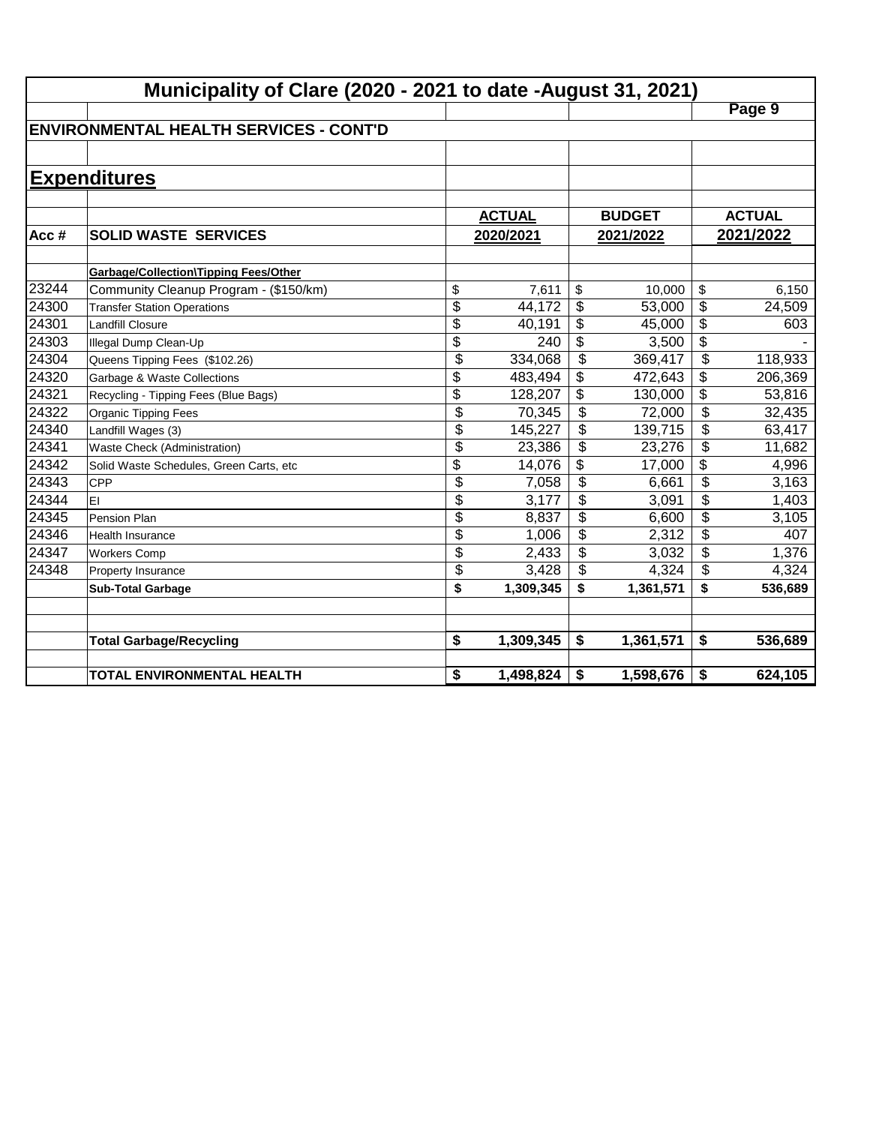|       | Municipality of Clare (2020 - 2021 to date -August 31, 2021) |                 |               |                          |               |                          |               |
|-------|--------------------------------------------------------------|-----------------|---------------|--------------------------|---------------|--------------------------|---------------|
|       |                                                              |                 |               |                          |               |                          | Page 9        |
|       | <b>IENVIRONMENTAL HEALTH SERVICES - CONT'D</b>               |                 |               |                          |               |                          |               |
|       |                                                              |                 |               |                          |               |                          |               |
|       | <b>Expenditures</b>                                          |                 |               |                          |               |                          |               |
|       |                                                              |                 |               |                          |               |                          |               |
|       |                                                              |                 | <b>ACTUAL</b> |                          | <b>BUDGET</b> |                          | <b>ACTUAL</b> |
| Acc#  | <b>SOLID WASTE SERVICES</b>                                  |                 | 2020/2021     |                          | 2021/2022     |                          | 2021/2022     |
|       |                                                              |                 |               |                          |               |                          |               |
|       | <b>Garbage/Collection\Tipping Fees/Other</b>                 |                 |               |                          |               |                          |               |
| 23244 | Community Cleanup Program - (\$150/km)                       | \$              | 7,611         | \$                       | 10,000        | \$                       | 6,150         |
| 24300 | <b>Transfer Station Operations</b>                           | \$              | 44,172        | \$                       | 53,000        | \$                       | 24,509        |
| 24301 | <b>Landfill Closure</b>                                      | $\overline{\$}$ | 40,191        | \$                       | 45,000        | $\overline{\$}$          | 603           |
| 24303 | Illegal Dump Clean-Up                                        | \$              | 240           | \$                       | 3,500         | $\overline{\$}$          |               |
| 24304 | Queens Tipping Fees (\$102.26)                               | \$              | 334,068       | \$                       | 369,417       | $\overline{\mathcal{S}}$ | 118,933       |
| 24320 | Garbage & Waste Collections                                  | \$              | 483,494       | \$                       | 472,643       | \$                       | 206,369       |
| 24321 | Recycling - Tipping Fees (Blue Bags)                         | \$              | 128,207       | \$                       | 130,000       | $\overline{\mathcal{L}}$ | 53,816        |
| 24322 | Organic Tipping Fees                                         | $\overline{\$}$ | 70,345        | $\overline{\mathcal{L}}$ | 72,000        | $\overline{\mathcal{L}}$ | 32,435        |
| 24340 | Landfill Wages (3)                                           | \$              | 145,227       | \$                       | 139,715       | \$                       | 63,417        |
| 24341 | Waste Check (Administration)                                 | \$              | 23,386        | \$                       | 23,276        | \$                       | 11,682        |
| 24342 | Solid Waste Schedules, Green Carts, etc                      | \$              | 14,076        | \$                       | 17,000        | \$                       | 4,996         |
| 24343 | <b>CPP</b>                                                   | \$              | 7,058         | \$                       | 6,661         | \$                       | 3,163         |
| 24344 | İΕΙ                                                          | \$              | 3,177         | \$                       | 3,091         | \$                       | 1,403         |
| 24345 | <b>Pension Plan</b>                                          | \$              | 8,837         | \$                       | 6,600         | \$                       | 3,105         |
| 24346 | Health Insurance                                             | \$              | 1,006         | \$                       | 2,312         | \$                       | 407           |
| 24347 | <b>Workers Comp</b>                                          | \$              | 2,433         | \$                       | 3,032         | \$                       | 1,376         |
| 24348 | Property Insurance                                           | \$              | 3,428         | \$                       | 4,324         | \$                       | 4,324         |
|       | <b>Sub-Total Garbage</b>                                     | \$              | 1,309,345     | \$                       | 1,361,571     | \$                       | 536,689       |
|       |                                                              |                 |               |                          |               |                          |               |
|       | <b>Total Garbage/Recycling</b>                               | \$              | 1,309,345     | \$                       | 1,361,571     | \$                       | 536,689       |
|       |                                                              |                 |               |                          |               |                          |               |
|       | <b>TOTAL ENVIRONMENTAL HEALTH</b>                            | \$              | 1,498,824     | \$                       | 1,598,676     | \$                       | 624,105       |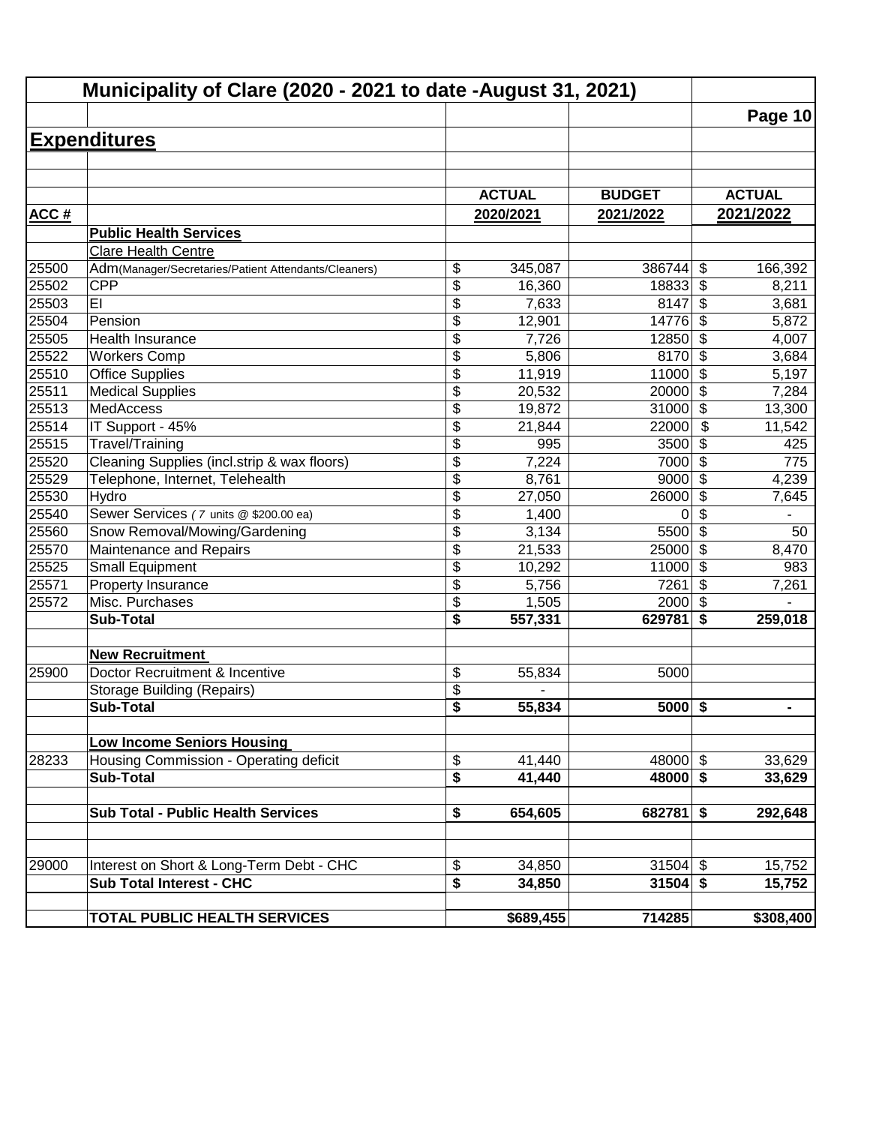|       | Municipality of Clare (2020 - 2021 to date -August 31, 2021) |                 |               |               |                                  |                |
|-------|--------------------------------------------------------------|-----------------|---------------|---------------|----------------------------------|----------------|
|       |                                                              |                 |               |               |                                  | Page 10        |
|       | <b>Expenditures</b>                                          |                 |               |               |                                  |                |
|       |                                                              |                 |               |               |                                  |                |
|       |                                                              |                 |               |               |                                  |                |
|       |                                                              |                 | <b>ACTUAL</b> | <b>BUDGET</b> |                                  | <b>ACTUAL</b>  |
| ACC#  |                                                              |                 | 2020/2021     | 2021/2022     |                                  | 2021/2022      |
|       | <b>Public Health Services</b>                                |                 |               |               |                                  |                |
|       | Clare Health Centre                                          |                 |               |               |                                  |                |
| 25500 | Adm(Manager/Secretaries/Patient Attendants/Cleaners)         | \$              | 345,087       | 386744        | \$                               | 166,392        |
| 25502 | <b>CPP</b>                                                   | \$              | 16,360        | 18833         | $\boldsymbol{\mathsf{S}}$        | 8,211          |
| 25503 | EI                                                           | \$              | 7,633         | 8147          | \$                               | 3,681          |
| 25504 | Pension                                                      | \$              | 12,901        | 14776         | \$                               | 5,872          |
| 25505 | Health Insurance                                             | \$              | 7,726         | 12850         | $\overline{\boldsymbol{\theta}}$ | 4,007          |
| 25522 | <b>Workers Comp</b>                                          | \$              | 5,806         | 8170          | $\overline{\$}$                  | 3,684          |
| 25510 | <b>Office Supplies</b>                                       | $\overline{\$}$ | 11,919        | 11000         | $\overline{\$}$                  | 5,197          |
| 25511 | <b>Medical Supplies</b>                                      | $\overline{\$}$ | 20,532        | 20000         | $\overline{\$}$                  | 7,284          |
| 25513 | <b>MedAccess</b>                                             | \$              | 19,872        | 31000         | $\overline{\$}$                  | 13,300         |
| 25514 | IT Support - 45%                                             | \$              | 21,844        | 22000         | \$                               | 11,542         |
| 25515 | Travel/Training                                              | \$              | 995           | 3500          | \$                               | 425            |
| 25520 | Cleaning Supplies (incl.strip & wax floors)                  | \$              | 7,224         | 7000          | \$                               | 775            |
| 25529 | Telephone, Internet, Telehealth                              | \$              | 8,761         | 9000          | $\boldsymbol{\mathsf{S}}$        | 4,239          |
| 25530 | Hydro                                                        | $\overline{\$}$ | 27,050        | 26000         | $\boldsymbol{\mathsf{S}}$        | 7,645          |
| 25540 | Sewer Services (7 units @ \$200.00 ea)                       | \$              | 1,400         | 0             | $\overline{\mathcal{S}}$         |                |
| 25560 | Snow Removal/Mowing/Gardening                                | \$              | 3,134         | 5500          | $\overline{\mathcal{S}}$         | 50             |
| 25570 | Maintenance and Repairs                                      | \$              | 21,533        | 25000         | $\overline{\mathcal{S}}$         | 8,470          |
| 25525 | <b>Small Equipment</b>                                       | \$              | 10,292        | 11000         | \$                               | 983            |
| 25571 | Property Insurance                                           | \$              | 5,756         | 7261          | \$                               | 7,261          |
| 25572 | Misc. Purchases                                              | \$              | 1,505         | 2000          | $\sqrt{2}$                       |                |
|       | <b>Sub-Total</b>                                             | \$              | 557,331       | 629781        | \$                               | 259,018        |
|       | <b>New Recruitment</b>                                       |                 |               |               |                                  |                |
| 25900 | Doctor Recruitment & Incentive                               | \$              | 55,834        | 5000          |                                  |                |
|       | <b>Storage Building (Repairs)</b>                            | \$              |               |               |                                  |                |
|       | Sub-Total                                                    | \$              | 55,834        | $5000$ \$     |                                  | $\blacksquare$ |
|       |                                                              |                 |               |               |                                  |                |
|       | <b>Low Income Seniors Housing</b>                            |                 |               |               |                                  |                |
| 28233 | Housing Commission - Operating deficit                       | \$              | 41,440        | $48000$ \$    |                                  | 33,629         |
|       | <b>Sub-Total</b>                                             | \$              | 41,440        | $48000$ \$    |                                  | 33,629         |
|       |                                                              |                 |               |               |                                  |                |
|       | <b>Sub Total - Public Health Services</b>                    | \$              | 654,605       | $682781$ \$   |                                  | 292,648        |
|       |                                                              |                 |               |               |                                  |                |
| 29000 | Interest on Short & Long-Term Debt - CHC                     | \$              | 34,850        | $31504$ \$    |                                  | 15,752         |
|       | <b>Sub Total Interest - CHC</b>                              | \$              | 34,850        | 31504         | $\overline{\bullet}$             | 15,752         |
|       |                                                              |                 |               |               |                                  |                |
|       | TOTAL PUBLIC HEALTH SERVICES                                 |                 | \$689,455     | 714285        |                                  | \$308,400      |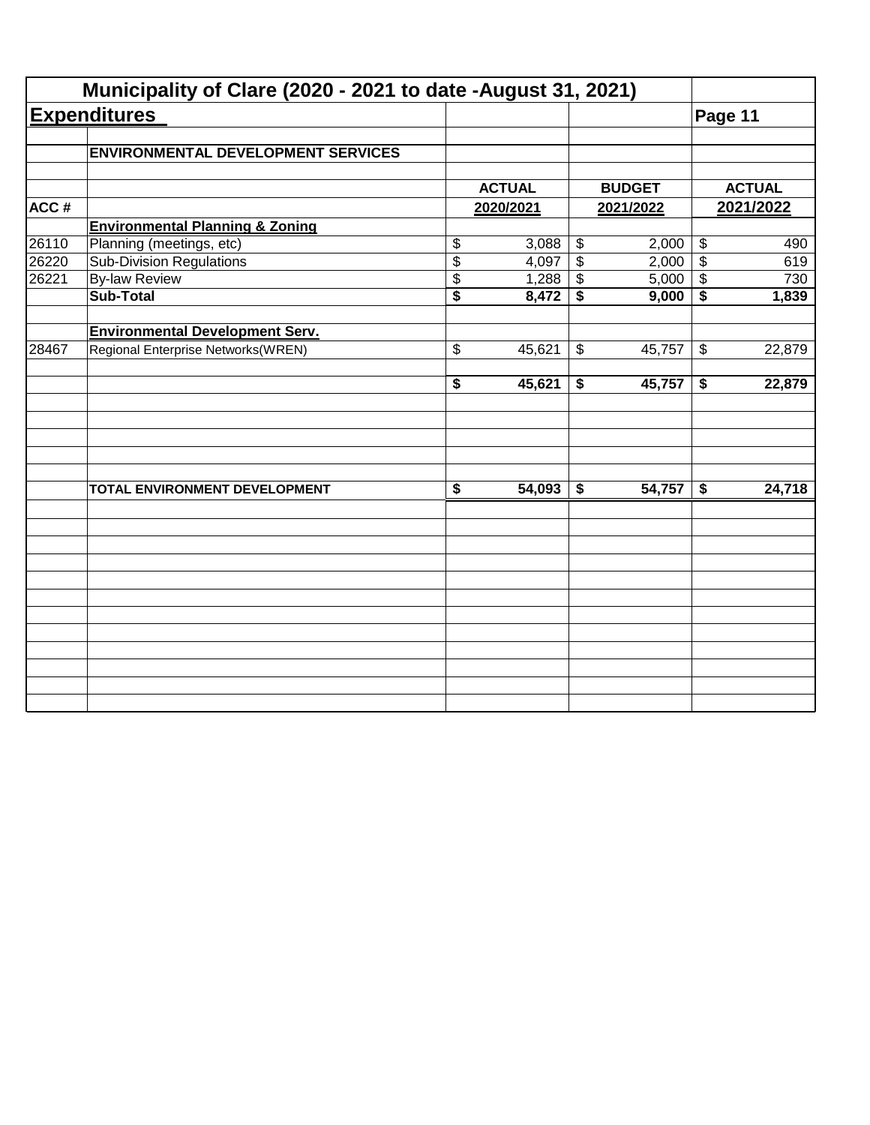|       | Municipality of Clare (2020 - 2021 to date -August 31, 2021) |                                      |               |                            |               |                            |               |
|-------|--------------------------------------------------------------|--------------------------------------|---------------|----------------------------|---------------|----------------------------|---------------|
|       | <b>Expenditures</b>                                          |                                      |               |                            |               | Page 11                    |               |
|       | <b>ENVIRONMENTAL DEVELOPMENT SERVICES</b>                    |                                      |               |                            |               |                            |               |
|       |                                                              |                                      | <b>ACTUAL</b> |                            | <b>BUDGET</b> |                            | <b>ACTUAL</b> |
| ACC#  |                                                              |                                      | 2020/2021     |                            | 2021/2022     |                            | 2021/2022     |
|       | <b>Environmental Planning &amp; Zoning</b>                   |                                      |               |                            |               |                            |               |
| 26110 | Planning (meetings, etc)                                     | \$                                   | 3,088         | $\boldsymbol{\mathsf{\$}}$ | 2,000         | $\boldsymbol{\mathsf{\$}}$ | 490           |
| 26220 | <b>Sub-Division Regulations</b>                              | $\overline{\$}$                      | 4,097         | $\overline{\mathbf{e}}$    | 2,000         | $\overline{\$}$            | 619           |
| 26221 | <b>By-law Review</b>                                         | \$                                   | 1,288         | \$                         | 5,000         | $\boldsymbol{\mathsf{\$}}$ | 730           |
|       | <b>Sub-Total</b>                                             | $\overline{\$}$                      | 8,472         | \$                         | 9,000         | \$                         | 1,839         |
|       | <b>Environmental Development Serv.</b>                       |                                      |               |                            |               |                            |               |
| 28467 | Regional Enterprise Networks(WREN)                           | \$                                   | 45,621        | \$                         | 45,757        | $\boldsymbol{\mathcal{F}}$ | 22,879        |
|       |                                                              | $\overline{\boldsymbol{s}}$          | 45,621        | \$                         | 45,757        | \$                         | 22,879        |
|       |                                                              |                                      |               |                            |               |                            |               |
|       | TOTAL ENVIRONMENT DEVELOPMENT                                | $\overline{\boldsymbol{\mathsf{s}}}$ | 54,093        | \$                         | 54,757        | \$                         | 24,718        |
|       |                                                              |                                      |               |                            |               |                            |               |
|       |                                                              |                                      |               |                            |               |                            |               |
|       |                                                              |                                      |               |                            |               |                            |               |
|       |                                                              |                                      |               |                            |               |                            |               |
|       |                                                              |                                      |               |                            |               |                            |               |
|       |                                                              |                                      |               |                            |               |                            |               |
|       |                                                              |                                      |               |                            |               |                            |               |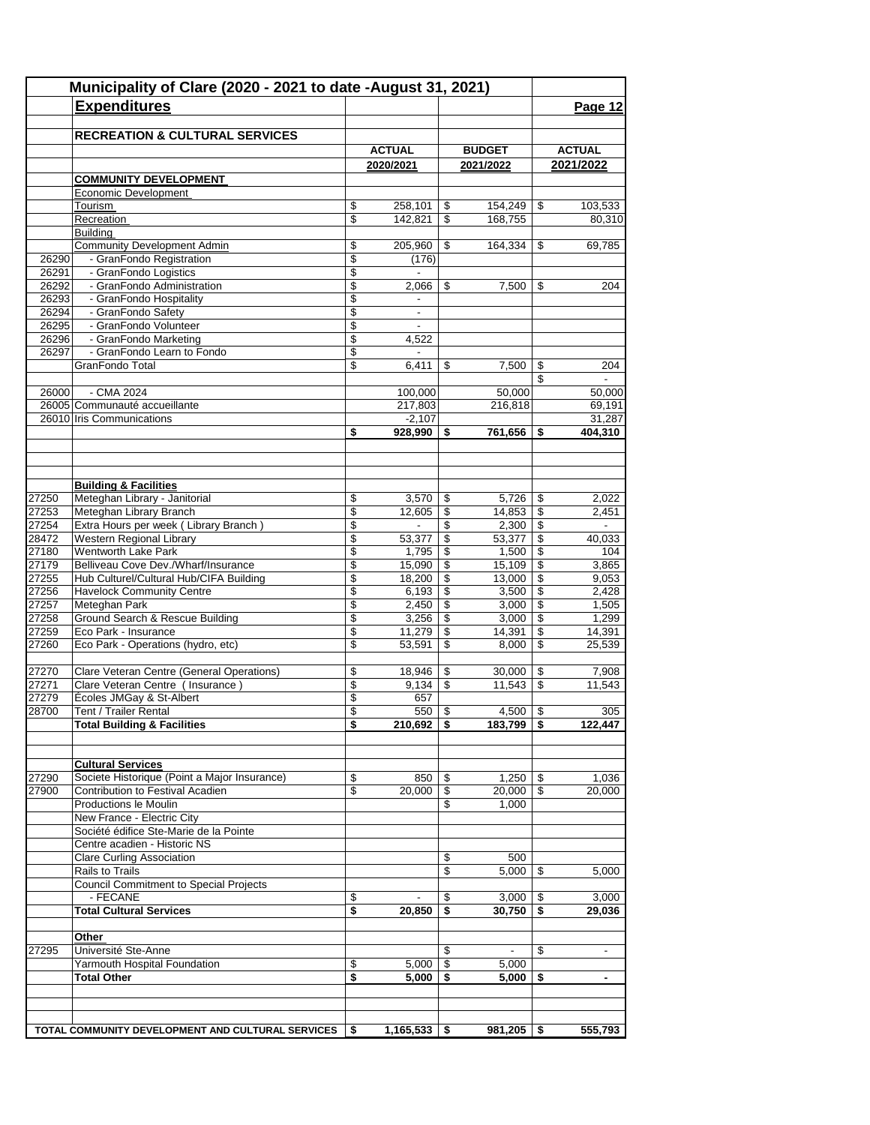|                | Municipality of Clare (2020 - 2021 to date -August 31, 2021)<br><b>Expenditures</b> |                                                      |                                    |            |                   |                          | Page 12                 |
|----------------|-------------------------------------------------------------------------------------|------------------------------------------------------|------------------------------------|------------|-------------------|--------------------------|-------------------------|
|                |                                                                                     |                                                      |                                    |            |                   |                          |                         |
|                | <b>RECREATION &amp; CULTURAL SERVICES</b>                                           |                                                      |                                    |            |                   |                          |                         |
|                |                                                                                     |                                                      | <b>ACTUAL</b>                      |            | <b>BUDGET</b>     |                          | <b>ACTUAL</b>           |
|                |                                                                                     |                                                      | 2020/2021                          |            | 2021/2022         |                          | 2021/2022               |
|                | <b>COMMUNITY DEVELOPMENT</b><br>Economic Development                                |                                                      |                                    |            |                   |                          |                         |
|                | Tourism                                                                             | \$                                                   | 258,101                            | \$         | 154.249           | \$                       | 103,533                 |
|                | Recreation                                                                          | \$                                                   | 142,821                            | \$         | 168,755           |                          | 80,310                  |
|                | <b>Building</b>                                                                     |                                                      |                                    |            |                   |                          |                         |
|                | <b>Community Development Admin</b>                                                  | \$                                                   | 205,960                            | \$         | 164,334           | \$                       | 69,785                  |
| 26290          | - GranFondo Registration                                                            | \$                                                   | (176)                              |            |                   |                          |                         |
| 26291<br>26292 | - GranFondo Logistics<br>- GranFondo Administration                                 | \$<br>\$                                             | $\blacksquare$<br>2,066            | \$         | 7,500             | \$                       | 204                     |
| 26293          | - GranFondo Hospitality                                                             | \$                                                   |                                    |            |                   |                          |                         |
| 26294          | - GranFondo Safety                                                                  | \$                                                   | $\overline{\phantom{a}}$           |            |                   |                          |                         |
| 26295          | - GranFondo Volunteer                                                               | \$                                                   |                                    |            |                   |                          |                         |
| 26296          | - GranFondo Marketing                                                               | \$                                                   | 4,522                              |            |                   |                          |                         |
| 26297          | - GranFondo Learn to Fondo                                                          | \$                                                   | $\overline{\phantom{a}}$           |            |                   |                          |                         |
|                | GranFondo Total                                                                     | \$                                                   | 6,411                              | \$         | 7,500             | \$                       | 204                     |
|                |                                                                                     |                                                      |                                    |            |                   | \$                       |                         |
| 26000          | - CMA 2024<br>26005 Communauté accueillante                                         |                                                      | 100,000<br>217,803                 |            | 50,000<br>216,818 |                          | 50,000<br>69,191        |
|                | 26010 Iris Communications                                                           |                                                      | $-2,107$                           |            |                   |                          | 31,287                  |
|                |                                                                                     | \$                                                   | 928,990                            | \$         | 761,656           | \$                       | 404,310                 |
|                |                                                                                     |                                                      |                                    |            |                   |                          |                         |
|                |                                                                                     |                                                      |                                    |            |                   |                          |                         |
|                |                                                                                     |                                                      |                                    |            |                   |                          |                         |
|                | <b>Building &amp; Facilities</b>                                                    |                                                      |                                    |            |                   |                          |                         |
| 27250          | Meteghan Library - Janitorial                                                       | \$                                                   | 3,570                              | \$         |                   |                          | 2,022                   |
| 27253<br>27254 | Meteghan Library Branch<br>Extra Hours per week (Library Branch)                    | $\overline{\mathcal{L}}$<br>$\overline{\mathcal{S}}$ | 12,605<br>$\overline{\phantom{a}}$ | \$<br>\$   | 14,853            | $\overline{\mathcal{S}}$ | 2,451<br>$\blacksquare$ |
| 28472          | Western Regional Library                                                            | \$                                                   | 53,377                             | \$         | 53,377            | $\sqrt[6]{3}$            | 40,033                  |
| 27180          | Wentworth Lake Park                                                                 | \$                                                   | 1,795                              | \$         | 1,500             | \$                       | 104                     |
| 27179          | Belliveau Cove Dev./Wharf/Insurance                                                 | \$                                                   | 15,090                             | \$         | 15,109            | $\sqrt[6]{3}$            | 3,865                   |
| 27255          | Hub Culturel/Cultural Hub/CIFA Building                                             | \$                                                   | 18,200                             | \$         | 13,000            | $\sqrt[6]{3}$            | 9,053                   |
| 27256          | <b>Havelock Community Centre</b>                                                    | \$                                                   | 6,193                              | \$         | 3,500             | $\sqrt{3}$               | 2,428                   |
| 27257          | Meteghan Park                                                                       | \$                                                   | 2,450                              | \$         | 3,000             | $\mathfrak{s}$           | 1,505                   |
| 27258          | Ground Search & Rescue Building                                                     | \$                                                   | 3,256                              | \$         | 3,000             | \$                       | 1,299                   |
| 27259          | Eco Park - Insurance                                                                | \$                                                   | 11,279                             | \$         | 14,391            | $\mathfrak s$            | 14,391                  |
| 27260          | Eco Park - Operations (hydro, etc)                                                  | \$                                                   | 53,591                             | \$         | 8,000             | \$                       | 25,539                  |
| 27270          | Clare Veteran Centre (General Operations)                                           | \$                                                   | 18,946                             | \$         | 30,000            | \$                       | 7,908                   |
| 27271          | Clare Veteran Centre ( Insurance )                                                  | \$                                                   | 9,134                              | \$         | 11,543            | $\mathfrak s$            | 11,543                  |
| 27279          | Écoles JMGay & St-Albert                                                            | \$                                                   | 657                                |            |                   |                          |                         |
| 28700          | Tent / Trailer Rental                                                               | \$                                                   | $550$ \ \$                         |            | $4,500$ \$        |                          | 305                     |
|                | <b>Total Building &amp; Facilities</b>                                              | \$                                                   | $210,692$   \$                     |            | $183,799$   \$    |                          | 122,447                 |
|                |                                                                                     |                                                      |                                    |            |                   |                          |                         |
|                | <b>Cultural Services</b>                                                            |                                                      |                                    |            |                   |                          |                         |
| 27290          | Societe Historique (Point a Major Insurance)                                        | \$                                                   | 850                                | \$         | $1,250$   \$      |                          | 1,036                   |
| 27900          | Contribution to Festival Acadien                                                    | \$                                                   | 20,000                             | \$         | $20,000$ \ \$     |                          | 20,000                  |
|                | Productions le Moulin                                                               |                                                      |                                    | \$         | 1,000             |                          |                         |
|                | New France - Electric City                                                          |                                                      |                                    |            |                   |                          |                         |
|                | Société édifice Ste-Marie de la Pointe                                              |                                                      |                                    |            |                   |                          |                         |
|                | Centre acadien - Historic NS                                                        |                                                      |                                    |            |                   |                          |                         |
|                | <b>Clare Curling Association</b>                                                    |                                                      |                                    | \$         | 500               |                          |                         |
|                | Rails to Trails                                                                     |                                                      |                                    | \$         | 5.000             | \$                       | 5,000                   |
|                | <b>Council Commitment to Special Projects</b><br>- FECANE                           | \$                                                   |                                    | \$         | $3,000$   \$      |                          | 3,000                   |
|                | <b>Total Cultural Services</b>                                                      | \$                                                   | 20,850                             | \$         | $30,750$ \$       |                          | 29,036                  |
|                |                                                                                     |                                                      |                                    |            |                   |                          |                         |
|                | Other                                                                               |                                                      |                                    |            |                   |                          |                         |
| 27295          | Université Ste-Anne                                                                 |                                                      |                                    | \$         |                   | \$                       |                         |
|                | Yarmouth Hospital Foundation                                                        | \$                                                   | 5,000                              | $\sqrt{3}$ | 5,000             |                          |                         |
|                | <b>Total Other</b>                                                                  | \$                                                   | 5,000                              | -\$        | 5,000             | -\$                      | $\blacksquare$          |
|                |                                                                                     |                                                      |                                    |            |                   |                          |                         |
|                |                                                                                     |                                                      |                                    |            |                   |                          |                         |
|                | TOTAL COMMUNITY DEVELOPMENT AND CULTURAL SERVICES                                   | \$                                                   | $1,165,533$   \$                   |            | $981,205$ \$      |                          | 555,793                 |
|                |                                                                                     |                                                      |                                    |            |                   |                          |                         |